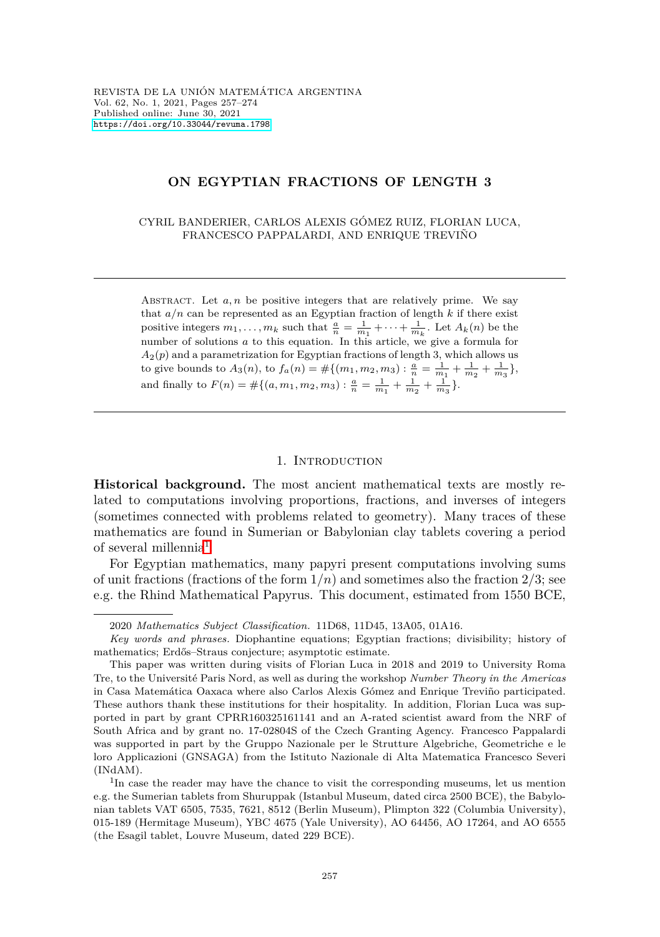# **ON EGYPTIAN FRACTIONS OF LENGTH 3**

CYRIL BANDERIER, CARLOS ALEXIS GÓMEZ RUIZ, FLORIAN LUCA, FRANCESCO PAPPALARDI, AND ENRIQUE TREVIÑO

ABSTRACT. Let  $a, n$  be positive integers that are relatively prime. We say that  $a/n$  can be represented as an Egyptian fraction of length  $k$  if there exist positive integers  $m_1, \ldots, m_k$  such that  $\frac{a}{n} = \frac{1}{m_1} + \cdots + \frac{1}{m_k}$ . Let  $A_k(n)$  be the number of solutions *a* to this equation. In this article, we give a formula for  $A_2(p)$  and a parametrization for Egyptian fractions of length 3, which allows us to give bounds to  $A_3(n)$ , to  $f_a(n) = #\{(m_1, m_2, m_3) : \frac{a}{n} = \frac{1}{m_1} + \frac{1}{m_2} + \frac{1}{m_3}\},$ and finally to  $F(n) = #\{(a, m_1, m_2, m_3) : \frac{a}{n} = \frac{1}{m_1} + \frac{1}{m_2} + \frac{1}{m_3}\}.$ 

# 1. INTRODUCTION

**Historical background.** The most ancient mathematical texts are mostly related to computations involving proportions, fractions, and inverses of integers (sometimes connected with problems related to geometry). Many traces of these mathematics are found in Sumerian or Babylonian clay tablets covering a period of several millennia<sup>[1](#page-0-0)</sup>.

For Egyptian mathematics, many papyri present computations involving sums of unit fractions (fractions of the form 1*/n*) and sometimes also the fraction 2*/*3; see e.g. the Rhind Mathematical Papyrus. This document, estimated from 1550 BCE,

<sup>2020</sup> *Mathematics Subject Classification.* 11D68, 11D45, 13A05, 01A16.

*Key words and phrases.* Diophantine equations; Egyptian fractions; divisibility; history of mathematics; Erdős–Straus conjecture; asymptotic estimate.

This paper was written during visits of Florian Luca in 2018 and 2019 to University Roma Tre, to the Université Paris Nord, as well as during the workshop *Number Theory in the Americas* in Casa Matemática Oaxaca where also Carlos Alexis Gómez and Enrique Treviño participated. These authors thank these institutions for their hospitality. In addition, Florian Luca was supported in part by grant CPRR160325161141 and an A-rated scientist award from the NRF of South Africa and by grant no. 17-02804S of the Czech Granting Agency. Francesco Pappalardi was supported in part by the Gruppo Nazionale per le Strutture Algebriche, Geometriche e le loro Applicazioni (GNSAGA) from the Istituto Nazionale di Alta Matematica Francesco Severi (INdAM).

<span id="page-0-0"></span><sup>&</sup>lt;sup>1</sup>In case the reader may have the chance to visit the corresponding museums, let us mention e.g. the Sumerian tablets from Shuruppak (Istanbul Museum, dated circa 2500 BCE), the Babylonian tablets VAT 6505, 7535, 7621, 8512 (Berlin Museum), Plimpton 322 (Columbia University), 015-189 (Hermitage Museum), YBC 4675 (Yale University), AO 64456, AO 17264, and AO 6555 (the Esagil tablet, Louvre Museum, dated 229 BCE).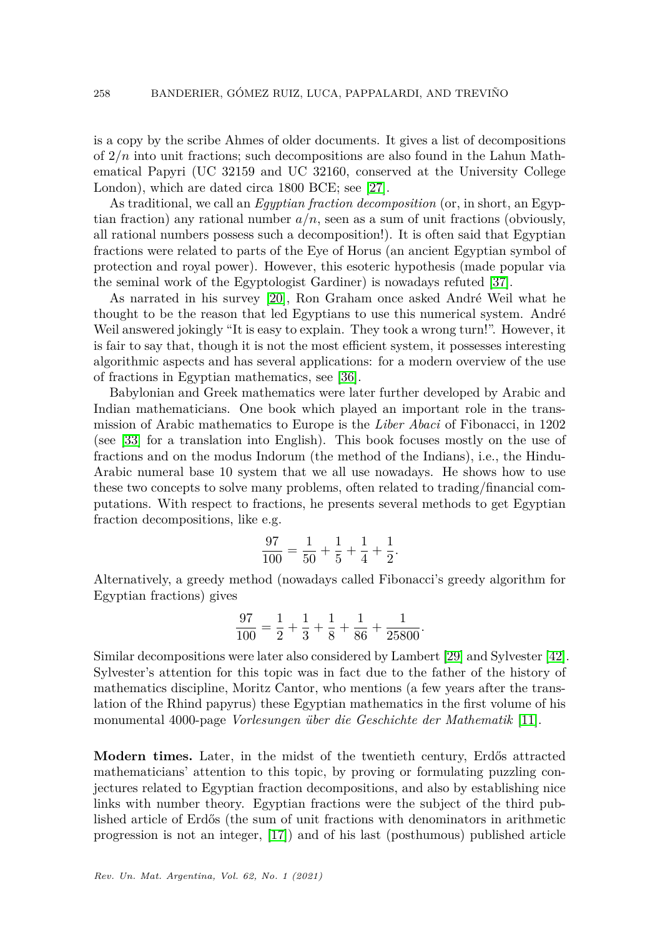is a copy by the scribe Ahmes of older documents. It gives a list of decompositions of 2*/n* into unit fractions; such decompositions are also found in the Lahun Mathematical Papyri (UC 32159 and UC 32160, conserved at the University College London), which are dated circa 1800 BCE; see [\[27\]](#page-16-0).

As traditional, we call an *Egyptian fraction decomposition* (or, in short, an Egyptian fraction) any rational number  $a/n$ , seen as a sum of unit fractions (obviously, all rational numbers possess such a decomposition!). It is often said that Egyptian fractions were related to parts of the Eye of Horus (an ancient Egyptian symbol of protection and royal power). However, this esoteric hypothesis (made popular via the seminal work of the Egyptologist Gardiner) is nowadays refuted [\[37\]](#page-17-0).

As narrated in his survey [\[20\]](#page-16-1), Ron Graham once asked André Weil what he thought to be the reason that led Egyptians to use this numerical system. André Weil answered jokingly "It is easy to explain. They took a wrong turn!". However, it is fair to say that, though it is not the most efficient system, it possesses interesting algorithmic aspects and has several applications: for a modern overview of the use of fractions in Egyptian mathematics, see [\[36\]](#page-17-1).

Babylonian and Greek mathematics were later further developed by Arabic and Indian mathematicians. One book which played an important role in the transmission of Arabic mathematics to Europe is the *Liber Abaci* of Fibonacci, in 1202 (see [\[33\]](#page-16-2) for a translation into English). This book focuses mostly on the use of fractions and on the modus Indorum (the method of the Indians), i.e., the Hindu-Arabic numeral base 10 system that we all use nowadays. He shows how to use these two concepts to solve many problems, often related to trading/financial computations. With respect to fractions, he presents several methods to get Egyptian fraction decompositions, like e.g.

$$
\frac{97}{100} = \frac{1}{50} + \frac{1}{5} + \frac{1}{4} + \frac{1}{2}.
$$

Alternatively, a greedy method (nowadays called Fibonacci's greedy algorithm for Egyptian fractions) gives

$$
\frac{97}{100} = \frac{1}{2} + \frac{1}{3} + \frac{1}{8} + \frac{1}{86} + \frac{1}{25800}.
$$

Similar decompositions were later also considered by Lambert [\[29\]](#page-16-3) and Sylvester [\[42\]](#page-17-2). Sylvester's attention for this topic was in fact due to the father of the history of mathematics discipline, Moritz Cantor, who mentions (a few years after the translation of the Rhind papyrus) these Egyptian mathematics in the first volume of his monumental 4000-page *Vorlesungen ¨uber die Geschichte der Mathematik* [\[11\]](#page-15-0).

**Modern times.** Later, in the midst of the twentieth century, Erdős attracted mathematicians' attention to this topic, by proving or formulating puzzling conjectures related to Egyptian fraction decompositions, and also by establishing nice links with number theory. Egyptian fractions were the subject of the third published article of Erdős (the sum of unit fractions with denominators in arithmetic progression is not an integer, [\[17\]](#page-16-4)) and of his last (posthumous) published article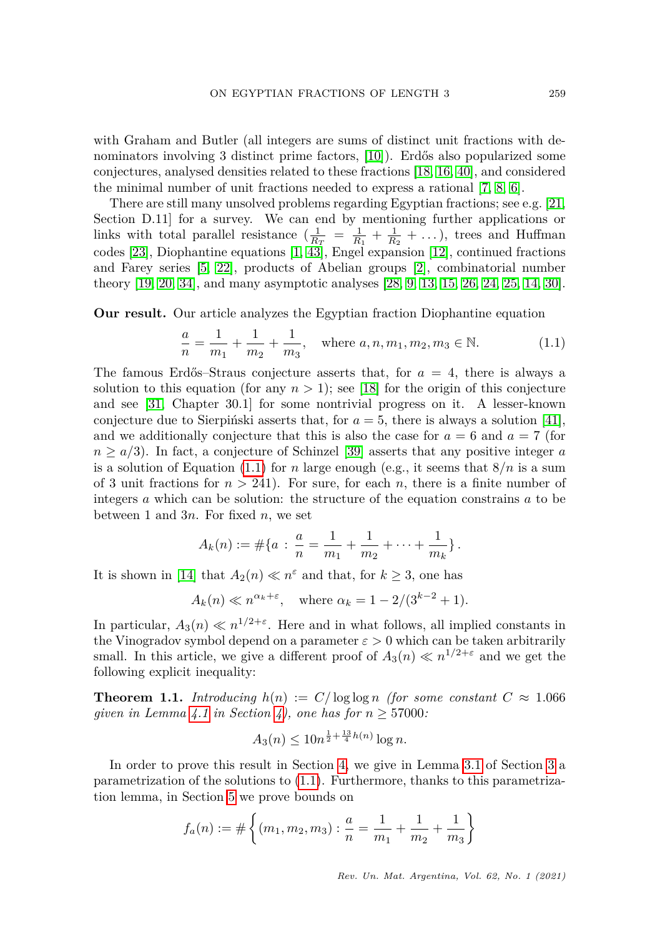with Graham and Butler (all integers are sums of distinct unit fractions with de-nominators involving 3 distinct prime factors, [\[10\]](#page-15-1)). Erdős also popularized some conjectures, analysed densities related to these fractions [\[18,](#page-16-5) [16,](#page-16-6) [40\]](#page-17-3), and considered the minimal number of unit fractions needed to express a rational [\[7,](#page-15-2) [8,](#page-15-3) [6\]](#page-15-4).

There are still many unsolved problems regarding Egyptian fractions; see e.g. [\[21,](#page-16-7) Section D.11] for a survey. We can end by mentioning further applications or links with total parallel resistance  $(\frac{1}{R_T} = \frac{1}{R_1} + \frac{1}{R_2} + ...)$ , trees and Huffman codes [\[23\]](#page-16-8), Diophantine equations [\[1,](#page-15-5) [43\]](#page-17-4), Engel expansion [\[12\]](#page-15-6), continued fractions and Farey series [\[5,](#page-15-7) [22\]](#page-16-9), products of Abelian groups [\[2\]](#page-15-8), combinatorial number theory [\[19,](#page-16-10) [20,](#page-16-1) [34\]](#page-17-5), and many asymptotic analyses [\[28,](#page-16-11) [9,](#page-15-9) [13,](#page-15-10) [15,](#page-16-12) [26,](#page-16-13) [24,](#page-16-14) [25,](#page-16-15) [14,](#page-16-16) [30\]](#page-16-17).

**Our result.** Our article analyzes the Egyptian fraction Diophantine equation

<span id="page-2-0"></span>
$$
\frac{a}{n} = \frac{1}{m_1} + \frac{1}{m_2} + \frac{1}{m_3}, \quad \text{where } a, n, m_1, m_2, m_3 \in \mathbb{N}.
$$
 (1.1)

The famous Erdős–Straus conjecture asserts that, for  $a = 4$ , there is always a solution to this equation (for any  $n > 1$ ); see [\[18\]](#page-16-5) for the origin of this conjecture and see [\[31,](#page-16-18) Chapter 30.1] for some nontrivial progress on it. A lesser-known conjecture due to Sierpinski asserts that, for  $a = 5$ , there is always a solution [\[41\]](#page-17-6), and we additionally conjecture that this is also the case for  $a = 6$  and  $a = 7$  (for  $n \geq a/3$ ). In fact, a conjecture of Schinzel [\[39\]](#page-17-7) asserts that any positive integer *a* is a solution of Equation [\(1.1\)](#page-2-0) for *n* large enough (e.g., it seems that  $8/n$  is a sum of 3 unit fractions for  $n > 241$ . For sure, for each  $n$ , there is a finite number of integers *a* which can be solution: the structure of the equation constrains *a* to be between 1 and 3*n*. For fixed *n*, we set

$$
A_k(n) := \#\{a \,:\, \frac{a}{n} = \frac{1}{m_1} + \frac{1}{m_2} + \cdots + \frac{1}{m_k}\}.
$$

It is shown in [\[14\]](#page-16-16) that  $A_2(n) \ll n^{\varepsilon}$  and that, for  $k \geq 3$ , one has

$$
A_k(n) \ll n^{\alpha_k + \varepsilon}, \quad \text{where } \alpha_k = 1 - 2/(3^{k-2} + 1).
$$

In particular,  $A_3(n) \ll n^{1/2+\epsilon}$ . Here and in what follows, all implied constants in the Vinogradov symbol depend on a parameter  $\varepsilon > 0$  which can be taken arbitrarily small. In this article, we give a different proof of  $A_3(n) \ll n^{1/2+\epsilon}$  and we get the following explicit inequality:

<span id="page-2-1"></span>**Theorem 1.1.** *Introducing*  $h(n) := C/\log \log n$  *(for some constant*  $C \approx 1.066$ *given in Lemma [4.1](#page-9-0) in Section [4\)](#page-9-1), one has for*  $n \geq 57000$ *:* 

$$
A_3(n) \le 10n^{\frac{1}{2} + \frac{13}{4}h(n)} \log n.
$$

In order to prove this result in Section [4,](#page-9-1) we give in Lemma [3.1](#page-6-0) of Section [3](#page-6-1) a parametrization of the solutions to [\(1.1\)](#page-2-0). Furthermore, thanks to this parametrization lemma, in Section [5](#page-11-0) we prove bounds on

$$
f_a(n) := \# \left\{ (m_1, m_2, m_3) : \frac{a}{n} = \frac{1}{m_1} + \frac{1}{m_2} + \frac{1}{m_3} \right\}
$$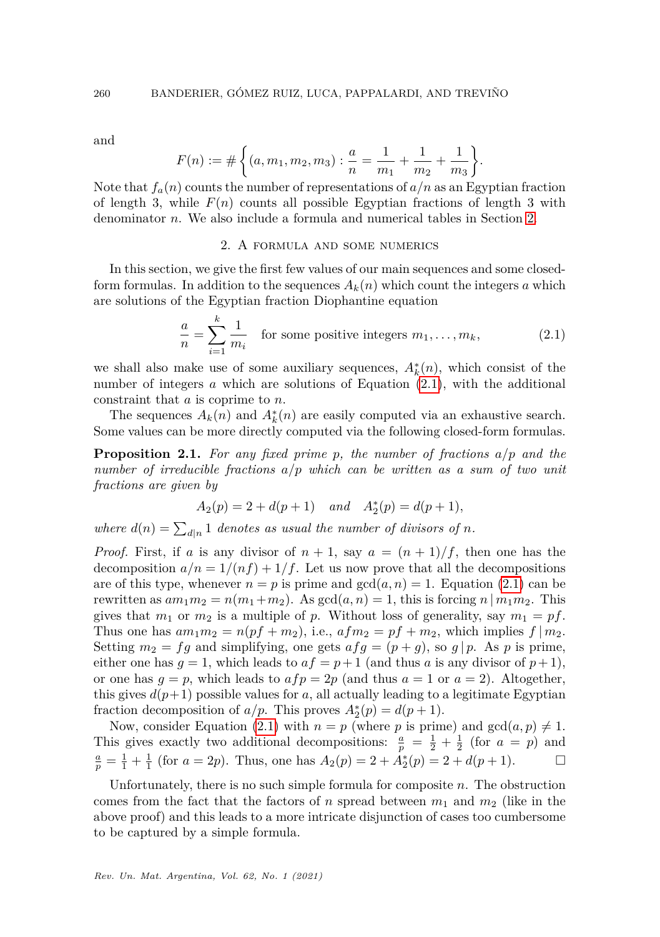and

$$
F(n) := # \left\{ (a, m_1, m_2, m_3) : \frac{a}{n} = \frac{1}{m_1} + \frac{1}{m_2} + \frac{1}{m_3} \right\}.
$$

Note that  $f_a(n)$  counts the number of representations of  $a/n$  as an Egyptian fraction of length 3, while  $F(n)$  counts all possible Egyptian fractions of length 3 with denominator *n*. We also include a formula and numerical tables in Section [2.](#page-3-0)

## 2. A formula and some numerics

<span id="page-3-0"></span>In this section, we give the first few values of our main sequences and some closedform formulas. In addition to the sequences  $A_k(n)$  which count the integers a which are solutions of the Egyptian fraction Diophantine equation

<span id="page-3-1"></span>
$$
\frac{a}{n} = \sum_{i=1}^{k} \frac{1}{m_i}
$$
 for some positive integers  $m_1, \dots, m_k$ , (2.1)

we shall also make use of some auxiliary sequences,  $A_k^*(n)$ , which consist of the number of integers *a* which are solutions of Equation [\(2.1\)](#page-3-1), with the additional constraint that *a* is coprime to *n*.

The sequences  $A_k(n)$  and  $A_k^*(n)$  are easily computed via an exhaustive search. Some values can be more directly computed via the following closed-form formulas.

**Proposition 2.1.** *For any fixed prime p, the number of fractions a/p and the number of irreducible fractions a/p which can be written as a sum of two unit fractions are given by*

$$
A_2(p) = 2 + d(p+1)
$$
 and  $A_2^*(p) = d(p+1)$ ,

where  $d(n) = \sum_{d|n} 1$  denotes as usual the number of divisors of n.

*Proof.* First, if *a* is any divisor of  $n + 1$ , say  $a = (n + 1)/f$ , then one has the decomposition  $a/n = 1/(nf) + 1/f$ . Let us now prove that all the decompositions are of this type, whenever  $n = p$  is prime and  $gcd(a, n) = 1$ . Equation [\(2.1\)](#page-3-1) can be rewritten as  $am_1m_2 = n(m_1+m_2)$ . As  $gcd(a, n) = 1$ , this is forcing  $n | m_1m_2$ . This gives that  $m_1$  or  $m_2$  is a multiple of p. Without loss of generality, say  $m_1 = pf$ . Thus one has  $am_1m_2 = n(pf + m_2)$ , i.e.,  $afm_2 = pf + m_2$ , which implies  $f|m_2$ . Setting  $m_2 = fg$  and simplifying, one gets  $afg = (p+g)$ , so  $g \mid p$ . As p is prime, either one has  $g = 1$ , which leads to  $af = p + 1$  (and thus a is any divisor of  $p + 1$ ), or one has  $g = p$ , which leads to  $af p = 2p$  (and thus  $a = 1$  or  $a = 2$ ). Altogether, this gives  $d(p+1)$  possible values for *a*, all actually leading to a legitimate Egyptian fraction decomposition of  $a/p$ . This proves  $A_2^*(p) = d(p+1)$ .

Now, consider Equation [\(2.1\)](#page-3-1) with  $n = p$  (where p is prime) and  $gcd(a, p) \neq 1$ . This gives exactly two additional decompositions:  $\frac{a}{p} = \frac{1}{2} + \frac{1}{2}$  (for  $a = p$ ) and  $\frac{a}{p} = \frac{1}{1} + \frac{1}{1}$  (for  $a = 2p$ ). Thus, one has  $A_2(p) = 2 + A_2^*(p) = 2 + d(p+1)$ .

Unfortunately, there is no such simple formula for composite *n*. The obstruction comes from the fact that the factors of *n* spread between  $m_1$  and  $m_2$  (like in the above proof) and this leads to a more intricate disjunction of cases too cumbersome to be captured by a simple formula.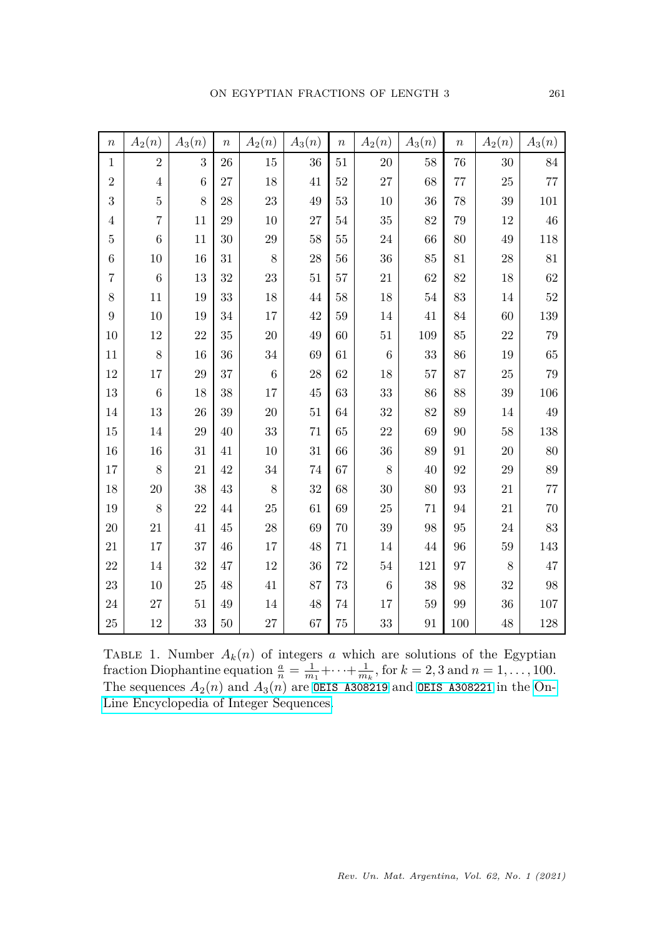| $\boldsymbol{n}$ | $A_2(n)$       | $A_3(n)$         | $\boldsymbol{n}$ | $A_2(n)$ | $A_3(n)$ | $\boldsymbol{n}$ | $A_2(n)$ | $A_3(n)$ | $\boldsymbol{n}$  | $A_2(n)$    | $A_3(n)$ |
|------------------|----------------|------------------|------------------|----------|----------|------------------|----------|----------|-------------------|-------------|----------|
| $\mathbf{1}$     | $\sqrt{2}$     | $\boldsymbol{3}$ | 26               | 15       | 36       | 51               | 20       | 58       | 76                | 30          | 84       |
| $\overline{2}$   | $\,4\,$        | 6                | 27               | $18\,$   | 41       | 52               | 27       | 68       | $77\,$            | $25\,$      | 77       |
| 3                | $\overline{5}$ | 8                | 28               | 23       | 49       | 53               | $10\,$   | 36       | $78\,$            | 39          | 101      |
| $\overline{4}$   | 7              | 11               | 29               | 10       | 27       | 54               | 35       | 82       | 79                | 12          | 46       |
| $\overline{5}$   | $\overline{6}$ | 11               | 30               | 29       | 58       | 55               | 24       | 66       | 80                | $49\,$      | 118      |
| $\,$ 6 $\,$      | 10             | 16               | 31               | 8        | 28       | 56               | 36       | 85       | 81                | 28          | $81\,$   |
| $\overline{7}$   | $\,$ 6 $\,$    | 13               | 32               | 23       | $51\,$   | 57               | 21       | 62       | 82                | $18\,$      | 62       |
| $\,8$            | 11             | 19               | 33               | $18\,$   | 44       | 58               | 18       | 54       | 83                | $14\,$      | $52\,$   |
| 9                | 10             | 19               | 34               | 17       | 42       | 59               | 14       | 41       | 84                | 60          | 139      |
| 10               | 12             | 22               | 35               | 20       | 49       | 60               | 51       | 109      | 85                | 22          | 79       |
| 11               | 8              | 16               | 36               | 34       | 69       | 61               | 6        | 33       | 86                | 19          | 65       |
| $12\,$           | 17             | 29               | 37               | $\,6$    | 28       | 62               | 18       | 57       | $87\,$            | $25\,$      | $79\,$   |
| $13\,$           | $\,6$          | 18               | 38               | 17       | 45       | 63               | 33       | 86       | 88                | $39\,$      | 106      |
| 14               | 13             | 26               | 39               | 20       | 51       | 64               | 32       | 82       | 89                | 14          | $49\,$   |
| 15               | 14             | 29               | 40               | $33\,$   | $71\,$   | 65               | 22       | 69       | 90                | 58          | 138      |
| 16               | 16             | 31               | 41               | 10       | 31       | 66               | 36       | 89       | 91                | 20          | $80\,$   |
| 17               | 8              | 21               | 42               | $34\,$   | 74       | 67               | 8        | 40       | 92                | $\,29$      | 89       |
| 18               | 20             | 38               | 43               | $8\,$    | 32       | 68               | 30       | 80       | $\boldsymbol{93}$ | $21\,$      | $77\,$   |
| 19               | 8              | 22               | 44               | 25       | 61       | 69               | 25       | 71       | 94                | $21\,$      | 70       |
| $20\,$           | 21             | 41               | 45               | $28\,$   | 69       | 70               | 39       | 98       | 95                | $\sqrt{24}$ | 83       |
| 21               | 17             | 37               | 46               | 17       | 48       | 71               | $14\,$   | 44       | 96                | $59\,$      | 143      |
| 22               | 14             | 32               | 47               | 12       | 36       | 72               | 54       | 121      | 97                | 8           | 47       |
| 23               | $10\,$         | $25\,$           | 48               | 41       | 87       | 73               | $\,6$    | 38       | 98                | 32          | 98       |
| 24               | $27\,$         | $51\,$           | 49               | 14       | 48       | 74               | 17       | 59       | 99                | $36\,$      | $107\,$  |
| 25               | $12\,$         | 33               | 50               | $27\,$   | 67       | 75               | 33       | 91       | 100               | 48          | 128      |

TABLE 1. Number  $A_k(n)$  of integers *a* which are solutions of the Egyptian fraction Diophantine equation  $\frac{a}{n} = \frac{1}{m_1} + \cdots + \frac{1}{m_k}$ , for  $k = 2, 3$  and  $n = 1, \ldots, 100$ . The sequences  $A_2(n)$  and  $A_3(n)$  are **OEIS** A308219 and **OEIS** A308221 in the [On-](https://oeis.org/)[Line Encyclopedia of Integer Sequences.](https://oeis.org/)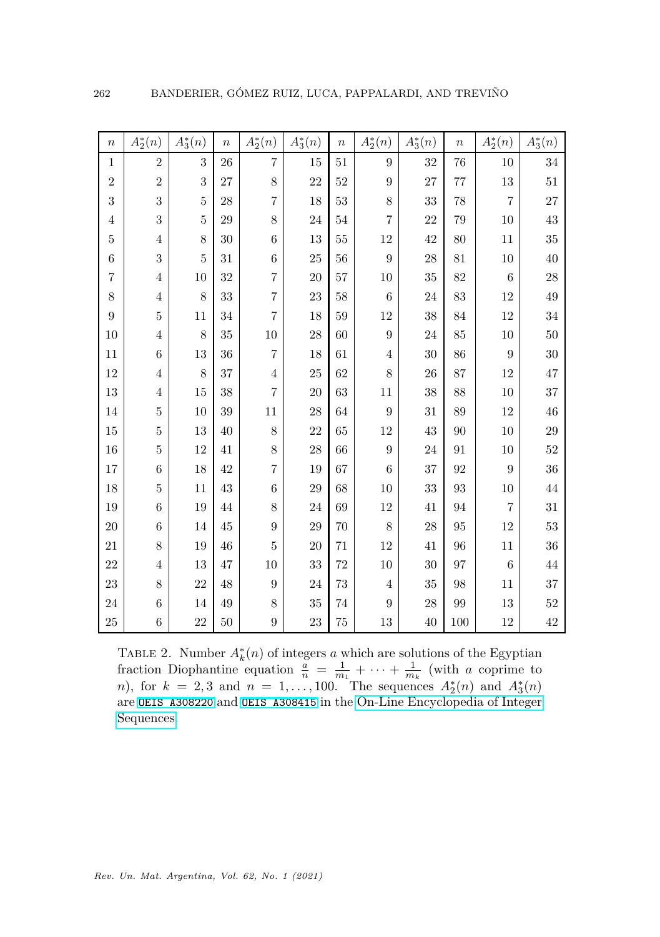| $\boldsymbol{n}$ | $A_2^\ast(n)$  | $A_3^*(n)$     | $\boldsymbol{n}$ | $A_2^*(n)$       | $A_3^*(n)$ | $\boldsymbol{n}$ | $A_2^*(n)$       | $A_3^*(n)$ | $\boldsymbol{n}$ | $A_2^*(n)$       | $A_3^*(n)$ |
|------------------|----------------|----------------|------------------|------------------|------------|------------------|------------------|------------|------------------|------------------|------------|
| $\,1$            | $\overline{2}$ | 3              | 26               | $\overline{7}$   | 15         | 51               | $\boldsymbol{9}$ | 32         | 76               | 10               | 34         |
| $\sqrt{2}$       | $\overline{2}$ | 3              | 27               | $8\,$            | 22         | 52               | $\boldsymbol{9}$ | 27         | 77               | 13               | $51\,$     |
| 3                | 3              | $\bf 5$        | 28               | $\overline{7}$   | 18         | 53               | 8                | 33         | 78               | $\overline{7}$   | 27         |
| $\sqrt{4}$       | 3              | 5              | 29               | $8\,$            | 24         | 54               | $\overline{7}$   | 22         | 79               | 10               | 43         |
| $\bf 5$          | 4              | 8              | 30               | $6\phantom{.}6$  | 13         | 55               | 12               | 42         | 80               | 11               | 35         |
| $\,$ 6 $\,$      | 3              | $\overline{5}$ | 31               | $\,6$            | 25         | 56               | $\overline{9}$   | 28         | 81               | 10               | 40         |
| $\overline{7}$   | $\overline{4}$ | $10\,$         | 32               | $\overline{7}$   | 20         | 57               | 10               | $35\,$     | 82               | $\,6$            | 28         |
| 8                | 4              | 8              | 33               | $\overline{7}$   | 23         | 58               | $\boldsymbol{6}$ | 24         | 83               | 12               | 49         |
| $\boldsymbol{9}$ | 5              | 11             | 34               | $\overline{7}$   | 18         | 59               | 12               | 38         | 84               | 12               | $34\,$     |
| 10               | $\overline{4}$ | 8              | 35               | 10               | 28         | 60               | 9                | 24         | 85               | 10               | 50         |
| 11               | 6              | 13             | 36               | $\overline{7}$   | 18         | 61               | $\overline{4}$   | 30         | 86               | 9                | 30         |
| 12               | 4              | 8              | 37               | $\,4\,$          | $25\,$     | 62               | 8                | 26         | 87               | 12               | 47         |
| 13               | 4              | $15\,$         | 38               | $\overline{7}$   | 20         | 63               | 11               | 38         | 88               | $10\,$           | 37         |
| 14               | $\mathbf 5$    | $10\,$         | 39               | $11\,$           | 28         | 64               | $\boldsymbol{9}$ | 31         | 89               | 12               | 46         |
| 15               | 5              | 13             | 40               | $8\,$            | 22         | 65               | 12               | 43         | 90               | 10               | 29         |
| 16               | 5              | 12             | 41               | 8                | 28         | 66               | 9                | 24         | 91               | 10               | 52         |
| 17               | $\overline{6}$ | 18             | 42               | $\overline{7}$   | 19         | 67               | $\boldsymbol{6}$ | 37         | 92               | $\boldsymbol{9}$ | 36         |
| 18               | 5              | 11             | 43               | $\boldsymbol{6}$ | 29         | 68               | 10               | 33         | 93               | 10               | $44\,$     |
| 19               | 6              | 19             | 44               | 8                | 24         | 69               | 12               | 41         | 94               | $\overline{7}$   | 31         |
| 20               | 6              | $14\,$         | 45               | 9                | 29         | 70               | 8                | 28         | 95               | $12\,$           | $53\,$     |
| 21               | 8              | 19             | 46               | $\bf 5$          | 20         | 71               | 12               | 41         | 96               | 11               | 36         |
| 22               | 4              | 13             | 47               | 10               | 33         | 72               | 10               | 30         | 97               | $\,6$            | $44\,$     |
| 23               | 8              | 22             | 48               | $\boldsymbol{9}$ | 24         | 73               | $\overline{4}$   | 35         | 98               | $11\,$           | 37         |
| 24               | $\,$ 6 $\,$    | 14             | 49               | $8\,$            | 35         | 74               | 9                | 28         | 99               | 13               | 52         |
| $25\,$           | 6              | 22             | $50\,$           | $\boldsymbol{9}$ | $\,23$     | 75               | $13\,$           | 40         | 100              | $12\,$           | $42\,$     |

TABLE 2. Number  $A_k^*(n)$  of integers *a* which are solutions of the Egyptian fraction Diophantine equation  $\frac{a}{n} = \frac{1}{m_1} + \cdots + \frac{1}{m_k}$  (with *a* coprime to *n*), for  $k = 2, 3$  and  $n = 1, ..., 100$ . The sequences  $A_2^*(n)$  and  $A_3^*(n)$ are [OEIS A308220](https://oeis.org/A308220) and [OEIS A308415](https://oeis.org/A308415) in the [On-Line Encyclopedia of Integer](https://oeis.org/) [Sequences.](https://oeis.org/)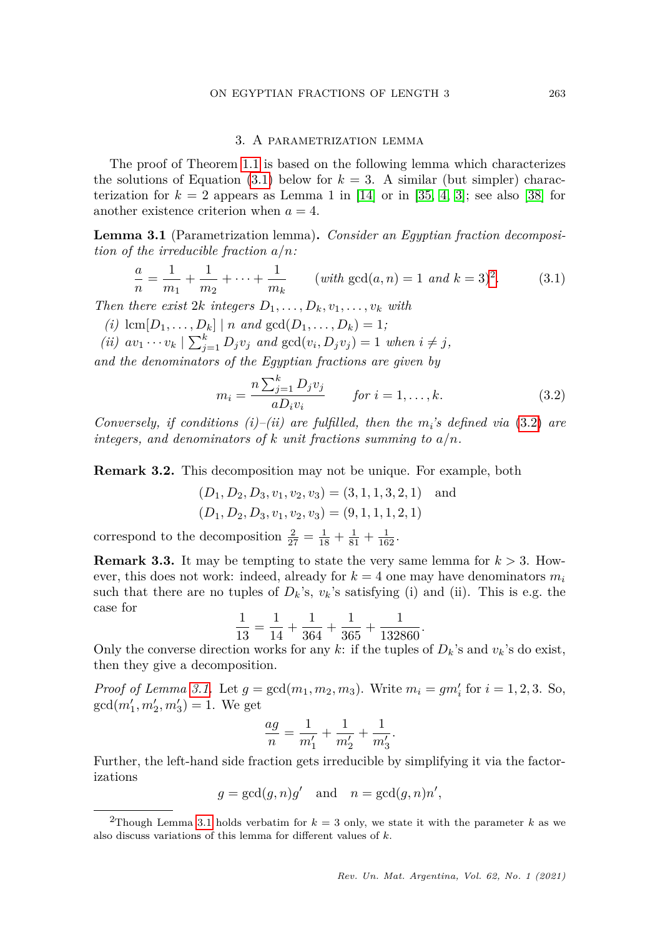#### ON EGYPTIAN FRACTIONS OF LENGTH 3 263

#### 3. A parametrization lemma

<span id="page-6-1"></span>The proof of Theorem [1.1](#page-2-1) is based on the following lemma which characterizes the solutions of Equation  $(3.1)$  below for  $k = 3$ . A similar (but simpler) characterization for  $k = 2$  appears as Lemma 1 in [\[14\]](#page-16-16) or in [\[35,](#page-17-8) [4,](#page-15-11) [3\]](#page-15-12); see also [\[38\]](#page-17-9) for another existence criterion when  $a = 4$ .

<span id="page-6-0"></span>**Lemma 3.1** (Parametrization lemma)**.** *Consider an Egyptian fraction decomposition of the irreducible fraction a/n:*

<span id="page-6-2"></span>
$$
\frac{a}{n} = \frac{1}{m_1} + \frac{1}{m_2} + \dots + \frac{1}{m_k} \qquad (with \gcd(a, n) = 1 \ and \ k = 3)^2.
$$
 (3.1)

*Then there exist*  $2k$  *integers*  $D_1, \ldots, D_k, v_1, \ldots, v_k$  *with* 

- $(i)$   $\text{lcm}[D_1, \ldots, D_k] | n \text{ and } \text{gcd}(D_1, \ldots, D_k) = 1;$
- *(ii)*  $av_1 \cdots v_k \mid \sum_{j=1}^k D_j v_j$  and  $gcd(v_i, D_j v_j) = 1$  when  $i \neq j$ ,

*and the denominators of the Egyptian fractions are given by*

<span id="page-6-4"></span>
$$
m_{i} = \frac{n \sum_{j=1}^{k} D_{j} v_{j}}{a D_{i} v_{i}} \qquad \text{for } i = 1, ..., k.
$$
 (3.2)

*.*

*Conversely, if conditions (i)–(ii) are fulfilled, then the*  $m_i$ 's defined via [\(3.2\)](#page-6-4) are *integers, and denominators of k unit fractions summing to a/n.*

**Remark 3.2.** This decomposition may not be unique. For example, both

$$
(D_1, D_2, D_3, v_1, v_2, v_3) = (3, 1, 1, 3, 2, 1)
$$
 and  
 $(D_1, D_2, D_3, v_1, v_2, v_3) = (9, 1, 1, 1, 2, 1)$ 

correspond to the decomposition  $\frac{2}{27} = \frac{1}{18} + \frac{1}{81} + \frac{1}{162}$ .

**Remark 3.3.** It may be tempting to state the very same lemma for *k >* 3. However, this does not work: indeed, already for  $k = 4$  one may have denominators  $m_i$ such that there are no tuples of  $D_k$ 's,  $v_k$ 's satisfying (i) and (ii). This is e.g. the case for

$$
\frac{1}{13} = \frac{1}{14} + \frac{1}{364} + \frac{1}{365} + \frac{1}{132860}
$$

Only the converse direction works for any *k*: if the tuples of  $D_k$ 's and  $v_k$ 's do exist, then they give a decomposition.

*Proof of Lemma [3.1.](#page-6-0)* Let  $g = \gcd(m_1, m_2, m_3)$ . Write  $m_i = gm'_i$  for  $i = 1, 2, 3$ . So,  $gcd(m'_1, m'_2, m'_3) = 1.$  We get

$$
\frac{ag}{n} = \frac{1}{m'_1} + \frac{1}{m'_2} + \frac{1}{m'_3}.
$$

Further, the left-hand side fraction gets irreducible by simplifying it via the factorizations

$$
g = \gcd(g, n)g'
$$
 and  $n = \gcd(g, n)n'$ ,

<span id="page-6-3"></span><sup>&</sup>lt;sup>2</sup>Though Lemma [3.1](#page-6-0) holds verbatim for  $k = 3$  only, we state it with the parameter k as we also discuss variations of this lemma for different values of *k*.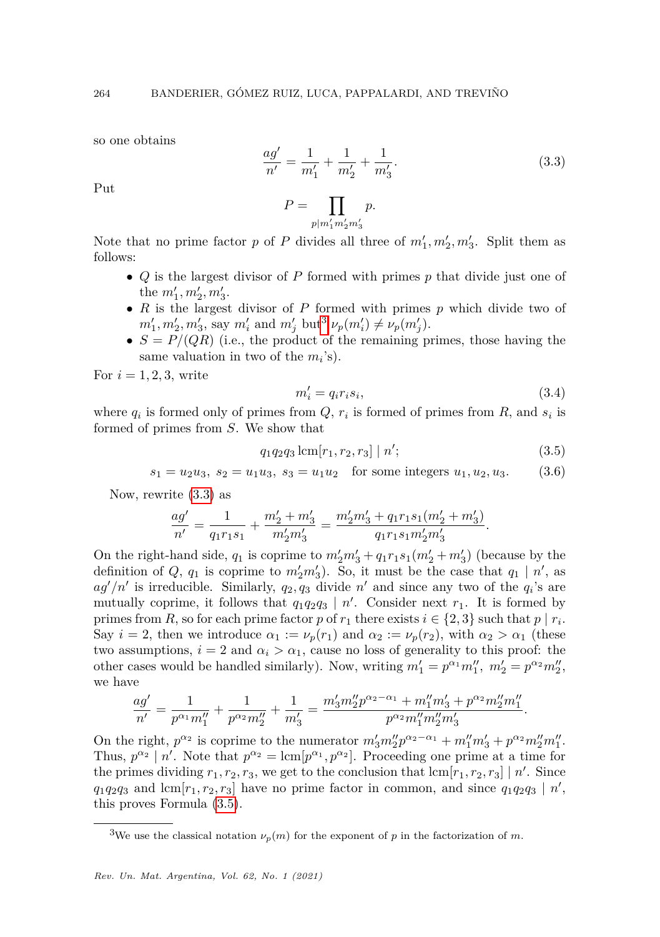so one obtains

<span id="page-7-1"></span>
$$
\frac{ag'}{n'} = \frac{1}{m'_1} + \frac{1}{m'_2} + \frac{1}{m'_3}.\tag{3.3}
$$

Put

$$
P = \prod_{p|m'_1 m'_2 m'_3} p.
$$

Note that no prime factor *p* of *P* divides all three of  $m'_1, m'_2, m'_3$ . Split them as follows:

- *Q* is the largest divisor of *P* formed with primes *p* that divide just one of the  $m'_1, m'_2, m'_3$ .
- *R* is the largest divisor of *P* formed with primes *p* which divide two of  $m'_1, m'_2, m'_3$  $m'_1, m'_2, m'_3$ , say  $m'_i$  and  $m'_j$  but<sup>3</sup>  $\nu_p(m'_i) \neq \nu_p(m'_j)$ .
- $S = P/(QR)$  (i.e., the product of the remaining primes, those having the same valuation in two of the  $m_i$ 's).

For  $i = 1, 2, 3$ , write

<span id="page-7-4"></span>
$$
m_i' = q_i r_i s_i,\tag{3.4}
$$

<span id="page-7-3"></span><span id="page-7-2"></span>*.*

where  $q_i$  is formed only of primes from  $Q$ ,  $r_i$  is formed of primes from  $R$ , and  $s_i$  is formed of primes from *S*. We show that

$$
q_1 q_2 q_3 \operatorname{lcm}[r_1, r_2, r_3] \mid n';\tag{3.5}
$$

$$
s_1 = u_2 u_3
$$
,  $s_2 = u_1 u_3$ ,  $s_3 = u_1 u_2$  for some integers  $u_1, u_2, u_3$ . (3.6)

Now, rewrite [\(3.3\)](#page-7-1) as

$$
\frac{ag'}{n'} = \frac{1}{q_1r_1s_1} + \frac{m'_2+m'_3}{m'_2m'_3} = \frac{m'_2m'_3+q_1r_1s_1(m'_2+m'_3)}{q_1r_1s_1m'_2m'_3}
$$

On the right-hand side,  $q_1$  is coprime to  $m'_2m'_3 + q_1r_1s_1(m'_2 + m'_3)$  (because by the definition of  $Q$ ,  $q_1$  is coprime to  $m'_2m'_3$ ). So, it must be the case that  $q_1 | n'$ , as  $ag'/n'$  is irreducible. Similarly,  $q_2, q_3$  divide  $n'$  and since any two of the  $q_i$ 's are mutually coprime, it follows that  $q_1q_2q_3 | n'$ . Consider next  $r_1$ . It is formed by primes from *R*, so for each prime factor *p* of  $r_1$  there exists  $i \in \{2, 3\}$  such that  $p \mid r_i$ . Say  $i = 2$ , then we introduce  $\alpha_1 := \nu_p(r_1)$  and  $\alpha_2 := \nu_p(r_2)$ , with  $\alpha_2 > \alpha_1$  (these two assumptions,  $i = 2$  and  $\alpha_i > \alpha_1$ , cause no loss of generality to this proof: the other cases would be handled similarly). Now, writing  $m'_1 = p^{\alpha_1} m''_1$ ,  $m'_2 = p^{\alpha_2} m''_2$ , we have

$$
\frac{ag'}{n'}=\frac{1}{p^{\alpha_1}m_1''}+\frac{1}{p^{\alpha_2}m_2''}+\frac{1}{m_3'}=\frac{m_3' m_2''p^{\alpha_2-\alpha_1}+m_1''m_3'+p^{\alpha_2}m_2''m_1''}{p^{\alpha_2}m_1''m_2''m_3'}.
$$

On the right,  $p^{\alpha_2}$  is coprime to the numerator  $m'_3 m''_2 p^{\alpha_2 - \alpha_1} + m''_1 m'_3 + p^{\alpha_2} m''_2 m''_1$ . Thus,  $p^{\alpha_2} \mid n'$ . Note that  $p^{\alpha_2} = \text{lcm}[p^{\alpha_1}, p^{\alpha_2}]$ . Proceeding one prime at a time for the primes dividing  $r_1, r_2, r_3$ , we get to the conclusion that  $\text{lcm}[r_1, r_2, r_3] | n'$ . Since  $q_1q_2q_3$  and lcm[ $r_1, r_2, r_3$ ] have no prime factor in common, and since  $q_1q_2q_3 | n'$ , this proves Formula [\(3.5\)](#page-7-2).

<span id="page-7-0"></span><sup>&</sup>lt;sup>3</sup>We use the classical notation  $\nu_p(m)$  for the exponent of *p* in the factorization of *m*.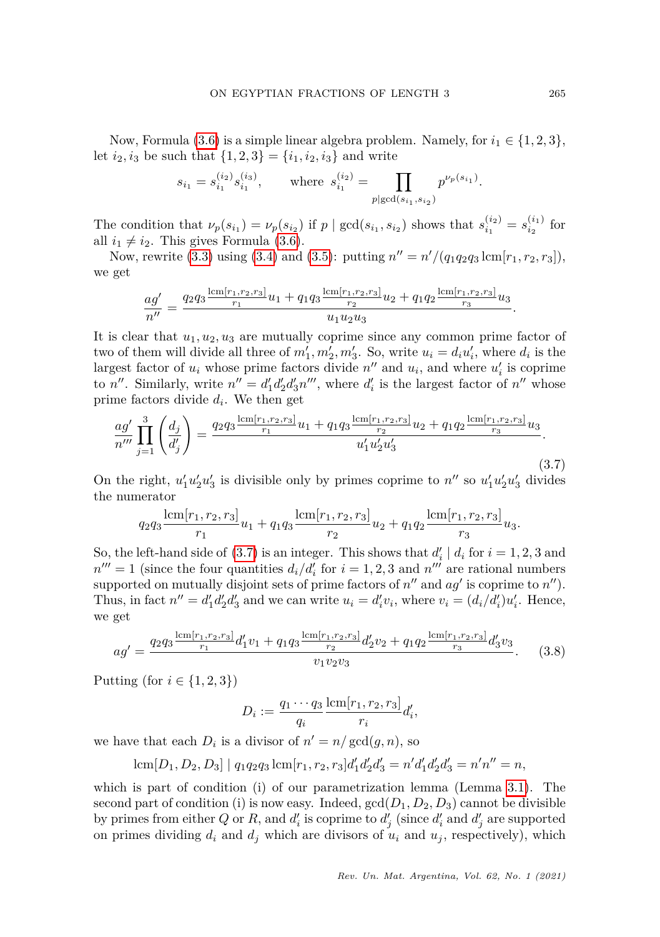Now, Formula [\(3.6\)](#page-7-3) is a simple linear algebra problem. Namely, for  $i_1 \in \{1, 2, 3\}$ , let  $i_2, i_3$  be such that  $\{1, 2, 3\} = \{i_1, i_2, i_3\}$  and write

$$
s_{i_1} = s_{i_1}^{(i_2)} s_{i_1}^{(i_3)}, \qquad \text{where} \ \ s_{i_1}^{(i_2)} = \prod_{p | \gcd(s_{i_1}, s_{i_2})} p^{\nu_p(s_{i_1})}.
$$

The condition that  $\nu_p(s_{i_1}) = \nu_p(s_{i_2})$  if  $p | \gcd(s_{i_1}, s_{i_2})$  shows that  $s_{i_1}^{(i_2)} = s_{i_2}^{(i_1)}$  for all  $i_1 \neq i_2$ . This gives Formula [\(3.6\)](#page-7-3).

Now, rewrite [\(3.3\)](#page-7-1) using [\(3.4\)](#page-7-4) and [\(3.5\)](#page-7-2): putting  $n'' = n'/(q_1q_2q_3 \text{ lcm}[r_1, r_2, r_3]),$ we get

$$
\frac{ag'}{n''} = \frac{q_2 q_3 \frac{\text{lcm}[r_1, r_2, r_3]}{r_1} u_1 + q_1 q_3 \frac{\text{lcm}[r_1, r_2, r_3]}{r_2} u_2 + q_1 q_2 \frac{\text{lcm}[r_1, r_2, r_3]}{r_3} u_3}{u_1 u_2 u_3}.
$$

It is clear that  $u_1, u_2, u_3$  are mutually coprime since any common prime factor of two of them will divide all three of  $m'_1, m'_2, m'_3$ . So, write  $u_i = d_i u'_i$ , where  $d_i$  is the largest factor of  $u_i$  whose prime factors divide  $n''$  and  $u_i$ , and where  $u'_i$  is coprime to *n*<sup>*n*</sup>. Similarly, write  $n'' = d'_1 d'_2 d'_3 n'''$ , where  $d'_i$  is the largest factor of *n*<sup>*n*</sup> whose prime factors divide *d<sup>i</sup>* . We then get

<span id="page-8-0"></span>
$$
\frac{ag'}{n'''} \prod_{j=1}^{3} \left(\frac{d_j}{d'_j}\right) = \frac{q_2 q_3 \frac{\text{lcm}[r_1, r_2, r_3]}{r_1} u_1 + q_1 q_3 \frac{\text{lcm}[r_1, r_2, r_3]}{r_2} u_2 + q_1 q_2 \frac{\text{lcm}[r_1, r_2, r_3]}{r_3} u_3}{u'_1 u'_2 u'_3}.
$$
\n(3.7)

On the right,  $u'_1u'_2u'_3$  is divisible only by primes coprime to  $n''$  so  $u'_1u'_2u'_3$  divides the numerator

$$
q_2q_3\frac{\text{lcm}[r_1,r_2,r_3]}{r_1}u_1+q_1q_3\frac{\text{lcm}[r_1,r_2,r_3]}{r_2}u_2+q_1q_2\frac{\text{lcm}[r_1,r_2,r_3]}{r_3}u_3.
$$

So, the left-hand side of [\(3.7\)](#page-8-0) is an integer. This shows that  $d'_{i} \mid d_{i}$  for  $i = 1, 2, 3$  and  $n^{\prime\prime\prime} = 1$  (since the four quantities  $d_i/d_i$  for  $i = 1, 2, 3$  and  $n^{\prime\prime\prime}$  are rational numbers supported on mutually disjoint sets of prime factors of  $n''$  and  $ag'$  is coprime to  $n''$ ). Thus, in fact  $n'' = d'_1 d'_2 d'_3$  and we can write  $u_i = d'_i v_i$ , where  $v_i = (d_i/d'_i) u'_i$ . Hence, we get

<span id="page-8-1"></span>
$$
ag' = \frac{q_2 q_3 \frac{\text{lcm}[r_1, r_2, r_3]}{r_1} d'_1 v_1 + q_1 q_3 \frac{\text{lcm}[r_1, r_2, r_3]}{r_2} d'_2 v_2 + q_1 q_2 \frac{\text{lcm}[r_1, r_2, r_3]}{r_3} d'_3 v_3}{v_1 v_2 v_3}.
$$
(3.8)

Putting (for  $i \in \{1,2,3\}$ )

$$
D_i := \frac{q_1 \cdots q_3}{q_i} \frac{\operatorname{lcm}[r_1, r_2, r_3]}{r_i} d_i',
$$

we have that each  $D_i$  is a divisor of  $n' = n/\gcd(g, n)$ , so

$$
lcm[D_1, D_2, D_3] | q_1q_2q_3 lcm[r_1, r_2, r_3]d'_1d'_2d'_3 = n'd'_1d'_2d'_3 = n'n'' = n,
$$

which is part of condition (i) of our parametrization lemma (Lemma [3.1\)](#page-6-0). The second part of condition (i) is now easy. Indeed,  $gcd(D_1, D_2, D_3)$  cannot be divisible by primes from either *Q* or *R*, and  $d'_{i}$  is coprime to  $d'_{j}$  (since  $d'_{i}$  and  $d'_{j}$  are supported on primes dividing  $d_i$  and  $d_j$  which are divisors of  $u_i$  and  $u_j$ , respectively), which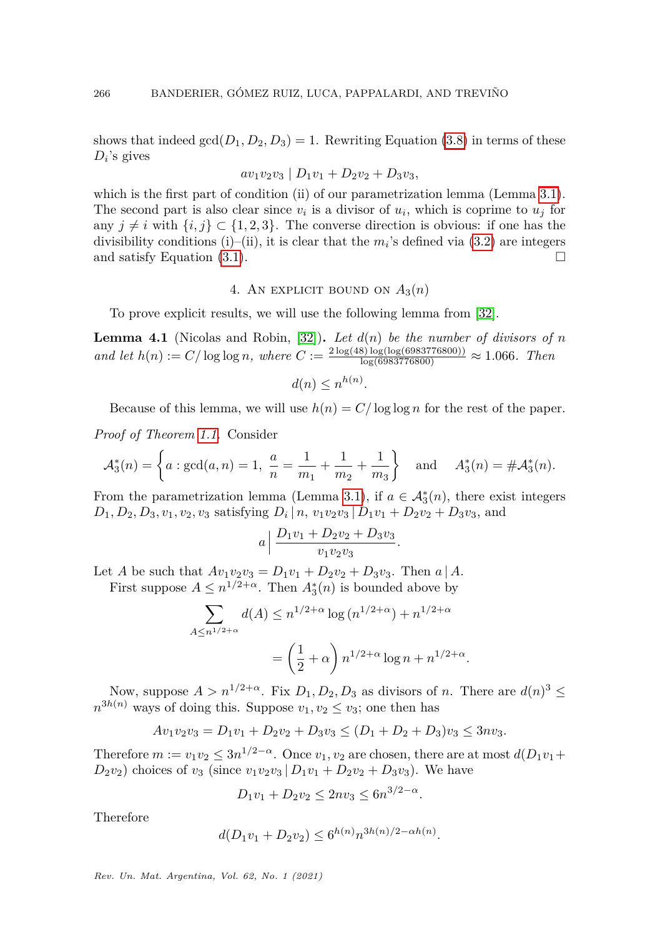shows that indeed  $gcd(D_1, D_2, D_3) = 1$ . Rewriting Equation [\(3.8\)](#page-8-1) in terms of these *D<sup>i</sup>* 's gives

$$
av_1v_2v_3 | D_1v_1 + D_2v_2 + D_3v_3,
$$

which is the first part of condition (ii) of our parametrization lemma (Lemma [3.1\)](#page-6-0). The second part is also clear since  $v_i$  is a divisor of  $u_i$ , which is coprime to  $u_j$  for any  $j \neq i$  with  $\{i, j\} \subset \{1, 2, 3\}$ . The converse direction is obvious: if one has the divisibility conditions (i)–(ii), it is clear that the  $m_i$ 's defined via  $(3.2)$  are integers and satisfy Equation [\(3.1\)](#page-6-2).

# 4. AN EXPLICIT BOUND ON  $A_3(n)$

<span id="page-9-1"></span>To prove explicit results, we will use the following lemma from [\[32\]](#page-16-19).

<span id="page-9-0"></span>**Lemma 4.1** (Nicolas and Robin, [\[32\]](#page-16-19)). Let  $d(n)$  be the number of divisors of n  $and \, let \, h(n) := C/\log \log n, \, where \, C := \frac{2 \log(48) \log(\log(6983776800))}{\log(6983776800)} \approx 1.066. \, Then$ 

$$
d(n) \leq n^{h(n)}.
$$

Because of this lemma, we will use  $h(n) = C/\log \log n$  for the rest of the paper.

*Proof of Theorem [1.1.](#page-2-1)* Consider

$$
\mathcal{A}_3^*(n) = \left\{ a : \gcd(a, n) = 1, \frac{a}{n} = \frac{1}{m_1} + \frac{1}{m_2} + \frac{1}{m_3} \right\} \text{ and } A_3^*(n) = \# \mathcal{A}_3^*(n).
$$

From the parametrization lemma (Lemma [3.1\)](#page-6-0), if  $a \in \mathcal{A}_{3}^{*}(n)$ , there exist integers  $D_1, D_2, D_3, v_1, v_2, v_3$  satisfying  $D_i | n, v_1v_2v_3 | D_1v_1 + D_2v_2 + D_3v_3$ , and

$$
a\left|\frac{D_1v_1+D_2v_2+D_3v_3}{v_1v_2v_3}\right|
$$

Let *A* be such that  $Av_1v_2v_3 = D_1v_1 + D_2v_2 + D_3v_3$ . Then *a* | *A*. First suppose  $A \leq n^{1/2+\alpha}$ . Then  $A_3^*(n)$  is bounded above by

$$
\sum_{A \le n^{1/2+\alpha}} d(A) \le n^{1/2+\alpha} \log(n^{1/2+\alpha}) + n^{1/2+\alpha}
$$

$$
= \left(\frac{1}{2} + \alpha\right) n^{1/2+\alpha} \log n + n^{1/2+\alpha}
$$

*.*

*.*

Now, suppose  $A > n^{1/2+\alpha}$ . Fix  $D_1, D_2, D_3$  as divisors of *n*. There are  $d(n)^3 \le$  $n^{3h(n)}$  ways of doing this. Suppose  $v_1, v_2 \le v_3$ ; one then has

$$
Av_1v_2v_3 = D_1v_1 + D_2v_2 + D_3v_3 \le (D_1 + D_2 + D_3)v_3 \le 3nv_3.
$$

Therefore  $m := v_1v_2 \leq 3n^{1/2-\alpha}$ . Once  $v_1, v_2$  are chosen, there are at most  $d(D_1v_1 +$  $D_2v_2$  choices of  $v_3$  (since  $v_1v_2v_3 | D_1v_1 + D_2v_2 + D_3v_3$ ). We have

$$
D_1v_1 + D_2v_2 \le 2nv_3 \le 6n^{3/2 - \alpha}
$$

Therefore

$$
d(D_1v_1 + D_2v_2) \le 6^{h(n)}n^{3h(n)/2 - \alpha h(n)}.
$$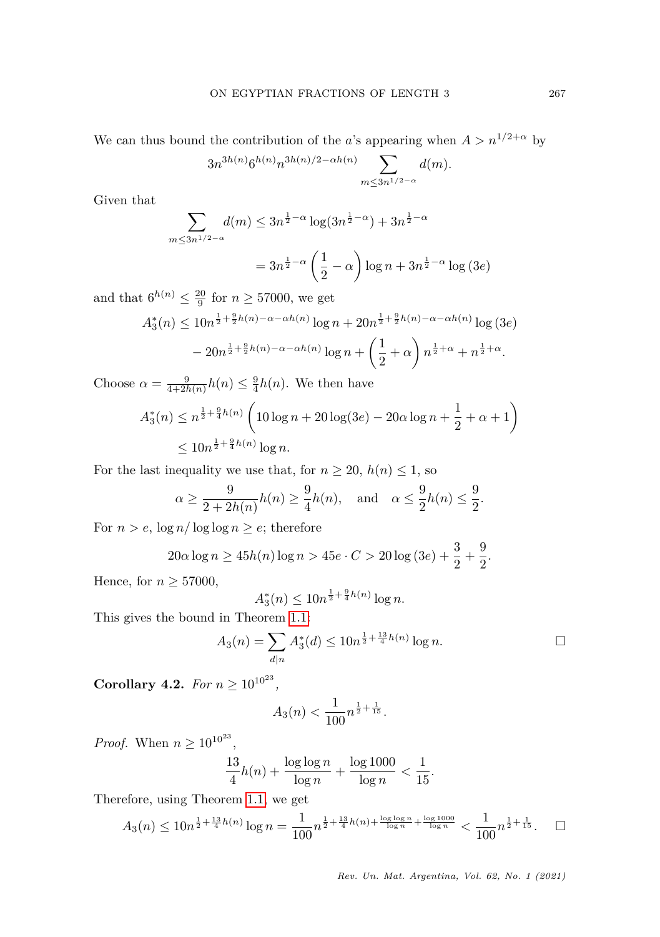We can thus bound the contribution of the *a*'s appearing when  $A > n^{1/2+\alpha}$  by

$$
3n^{3h(n)}6^{h(n)}n^{3h(n)/2-\alpha h(n)}\sum_{m\leq 3n^{1/2-\alpha}}d(m).
$$

Given that

$$
\sum_{m \le 3n^{1/2 - \alpha}} d(m) \le 3n^{\frac{1}{2} - \alpha} \log(3n^{\frac{1}{2} - \alpha}) + 3n^{\frac{1}{2} - \alpha}
$$

$$
= 3n^{\frac{1}{2} - \alpha} \left(\frac{1}{2} - \alpha\right) \log n + 3n^{\frac{1}{2} - \alpha} \log(3e)
$$

and that  $6^{h(n)} \leq \frac{20}{9}$  for  $n \geq 57000$ , we get

$$
A_3^*(n) \le 10n^{\frac{1}{2} + \frac{9}{2}h(n) - \alpha - \alpha h(n)} \log n + 20n^{\frac{1}{2} + \frac{9}{2}h(n) - \alpha - \alpha h(n)} \log (3e)
$$

$$
- 20n^{\frac{1}{2} + \frac{9}{2}h(n) - \alpha - \alpha h(n)} \log n + \left(\frac{1}{2} + \alpha\right) n^{\frac{1}{2} + \alpha} + n^{\frac{1}{2} + \alpha}.
$$

Choose  $\alpha = \frac{9}{4+2h(n)}h(n) \leq \frac{9}{4}h(n)$ . We then have

$$
A_3^*(n) \le n^{\frac{1}{2} + \frac{9}{4}h(n)} \left( 10\log n + 20\log(3e) - 20\alpha\log n + \frac{1}{2} + \alpha + 1 \right)
$$
  
\$\le 10n^{\frac{1}{2} + \frac{9}{4}h(n)}\log n.\$

For the last inequality we use that, for  $n \geq 20$ ,  $h(n) \leq 1$ , so

$$
\alpha \ge \frac{9}{2+2h(n)}h(n) \ge \frac{9}{4}h(n)
$$
, and  $\alpha \le \frac{9}{2}h(n) \le \frac{9}{2}$ .

For  $n > e$ ,  $\log n / \log \log n \ge e$ ; therefore

$$
20\alpha \log n \ge 45h(n) \log n > 45e \cdot C > 20 \log (3e) + \frac{3}{2} + \frac{9}{2}.
$$

Hence, for  $n \geq 57000$ ,

$$
A_3^*(n) \le 10n^{\frac{1}{2} + \frac{9}{4}h(n)}\log n.
$$

This gives the bound in Theorem [1.1:](#page-2-1)

$$
A_3(n) = \sum_{d|n} A_3^*(d) \le 10n^{\frac{1}{2} + \frac{13}{4}h(n)} \log n.
$$

<span id="page-10-0"></span>**Corollary 4.2.** *For*  $n \geq 10^{10^{23}}$ *,* 

$$
A_3(n) < \frac{1}{100} n^{\frac{1}{2} + \frac{1}{15}}.
$$

*Proof.* When  $n \geq 10^{10^{23}}$ ,

$$
\frac{13}{4}h(n) + \frac{\log \log n}{\log n} + \frac{\log 1000}{\log n} < \frac{1}{15}.
$$

Therefore, using Theorem [1.1,](#page-2-1) we get

$$
A_3(n) \le 10n^{\frac{1}{2} + \frac{13}{4}h(n)} \log n = \frac{1}{100}n^{\frac{1}{2} + \frac{13}{4}h(n) + \frac{\log \log n}{\log n} + \frac{\log 1000}{\log n}} < \frac{1}{100}n^{\frac{1}{2} + \frac{1}{15}}. \quad \Box
$$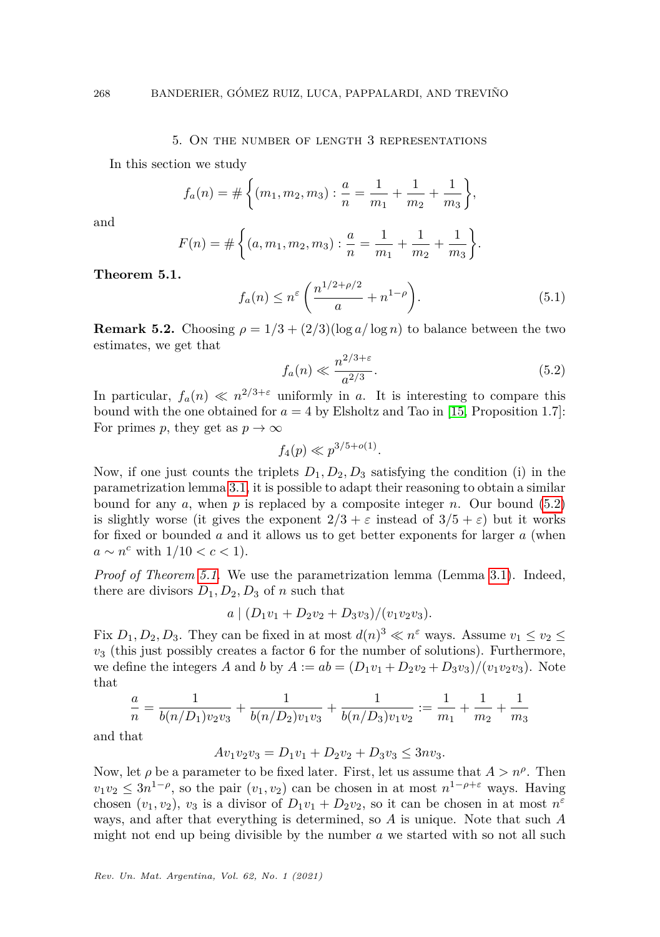## 5. On the number of length 3 representations

<span id="page-11-0"></span>In this section we study

$$
f_a(n) = # \left\{ (m_1, m_2, m_3) : \frac{a}{n} = \frac{1}{m_1} + \frac{1}{m_2} + \frac{1}{m_3} \right\},\,
$$

and

$$
F(n) = # \left\{ (a, m_1, m_2, m_3) : \frac{a}{n} = \frac{1}{m_1} + \frac{1}{m_2} + \frac{1}{m_3} \right\}.
$$

<span id="page-11-2"></span>**Theorem 5.1.**

<span id="page-11-3"></span>
$$
f_a(n) \le n^{\varepsilon} \left( \frac{n^{1/2 + \rho/2}}{a} + n^{1-\rho} \right). \tag{5.1}
$$

**Remark 5.2.** Choosing  $\rho = 1/3 + (2/3)(\log a/\log n)$  to balance between the two estimates, we get that

<span id="page-11-1"></span>
$$
f_a(n) \ll \frac{n^{2/3+\varepsilon}}{a^{2/3}}.\tag{5.2}
$$

In particular,  $f_a(n) \ll n^{2/3+\epsilon}$  uniformly in *a*. It is interesting to compare this bound with the one obtained for  $a = 4$  by Elsholtz and Tao in [\[15,](#page-16-12) Proposition 1.7]: For primes *p*, they get as  $p \to \infty$ 

 $f_4(p) \ll p^{3/5+o(1)}$ .

Now, if one just counts the triplets  $D_1, D_2, D_3$  satisfying the condition (i) in the parametrization lemma [3.1,](#page-6-0) it is possible to adapt their reasoning to obtain a similar bound for any  $a$ , when  $p$  is replaced by a composite integer  $n$ . Our bound [\(5.2\)](#page-11-1) is slightly worse (it gives the exponent  $2/3 + \varepsilon$  instead of  $3/5 + \varepsilon$ ) but it works for fixed or bounded *a* and it allows us to get better exponents for larger *a* (when *a* ∼ *n*<sup>*c*</sup> with  $1/10 < c < 1$ ).

*Proof of Theorem [5.1.](#page-11-2)* We use the parametrization lemma (Lemma [3.1\)](#page-6-0). Indeed, there are divisors  $D_1, D_2, D_3$  of *n* such that

 $a \mid (D_1v_1 + D_2v_2 + D_3v_3)/(v_1v_2v_3).$ 

Fix  $D_1, D_2, D_3$ . They can be fixed in at most  $d(n)^3 \ll n^{\epsilon}$  ways. Assume  $v_1 \le v_2 \le$ *v*<sup>3</sup> (this just possibly creates a factor 6 for the number of solutions). Furthermore, we define the integers *A* and *b* by  $A := ab = (D_1v_1 + D_2v_2 + D_3v_3)/(v_1v_2v_3)$ . Note that

$$
\frac{a}{n} = \frac{1}{b(n/D_1)v_2v_3} + \frac{1}{b(n/D_2)v_1v_3} + \frac{1}{b(n/D_3)v_1v_2} := \frac{1}{m_1} + \frac{1}{m_2} + \frac{1}{m_3}
$$

and that

$$
Av_1v_2v_3 = D_1v_1 + D_2v_2 + D_3v_3 \le 3nv_3.
$$

Now, let  $\rho$  be a parameter to be fixed later. First, let us assume that  $A > n^{\rho}$ . Then  $v_1v_2 \leq 3n^{1-\rho}$ , so the pair  $(v_1, v_2)$  can be chosen in at most  $n^{1-\rho+\varepsilon}$  ways. Having chosen  $(v_1, v_2)$ ,  $v_3$  is a divisor of  $D_1v_1 + D_2v_2$ , so it can be chosen in at most  $n^{\varepsilon}$ ways, and after that everything is determined, so *A* is unique. Note that such *A* might not end up being divisible by the number *a* we started with so not all such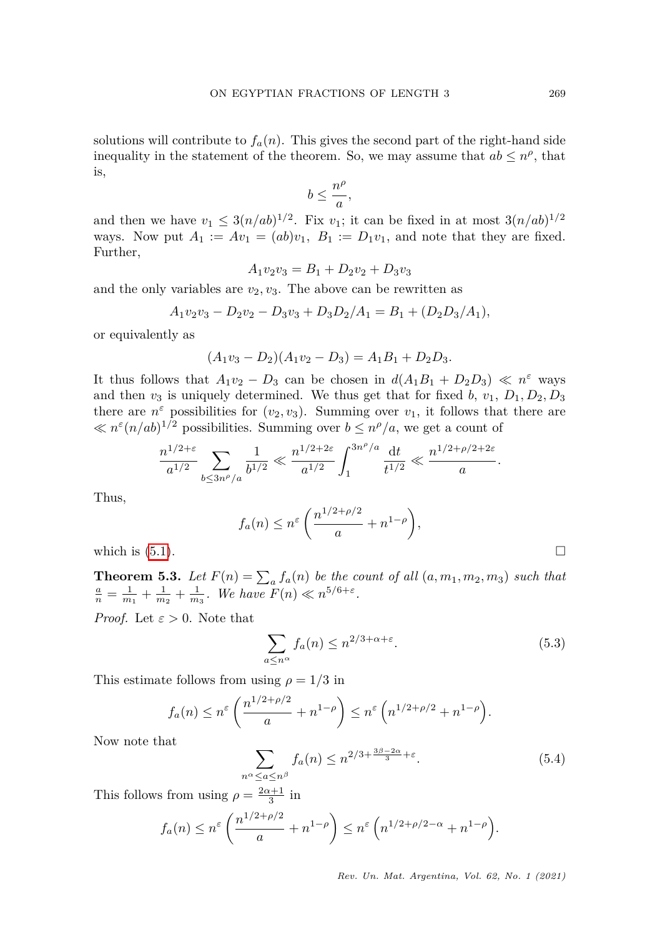solutions will contribute to  $f_a(n)$ . This gives the second part of the right-hand side inequality in the statement of the theorem. So, we may assume that  $ab \leq n^{\rho}$ , that is,

$$
b \leq \frac{n^{\rho}}{a},
$$

and then we have  $v_1 \leq 3(n/ab)^{1/2}$ . Fix  $v_1$ ; it can be fixed in at most  $3(n/ab)^{1/2}$ ways. Now put  $A_1 := Av_1 = (ab)v_1$ ,  $B_1 := D_1v_1$ , and note that they are fixed. Further,

$$
A_1v_2v_3 = B_1 + D_2v_2 + D_3v_3
$$

and the only variables are  $v_2, v_3$ . The above can be rewritten as

$$
A_1v_2v_3 - D_2v_2 - D_3v_3 + D_3D_2/A_1 = B_1 + (D_2D_3/A_1),
$$

or equivalently as

$$
(A_1v_3 - D_2)(A_1v_2 - D_3) = A_1B_1 + D_2D_3.
$$

It thus follows that  $A_1v_2 - D_3$  can be chosen in  $d(A_1B_1 + D_2D_3) \ll n^{\epsilon}$  ways and then  $v_3$  is uniquely determined. We thus get that for fixed  $b$ ,  $v_1$ ,  $D_1$ ,  $D_2$ ,  $D_3$ there are  $n^{\varepsilon}$  possibilities for  $(v_2, v_3)$ . Summing over  $v_1$ , it follows that there are  $\ll n^{\epsilon} (n/ab)^{1/2}$  possibilities. Summing over  $b \leq n^{\rho}/a$ , we get a count of

$$
\frac{n^{1/2+\varepsilon}}{a^{1/2}}\sum_{b\leq 3n^\rho/a}\frac{1}{b^{1/2}}\ll \frac{n^{1/2+2\varepsilon}}{a^{1/2}}\int_1^{3n^\rho/a}\frac{\,{\rm d} t}{t^{1/2}}\ll \frac{n^{1/2+\rho/2+2\varepsilon}}{a}.
$$

Thus,

$$
f_a(n) \le n^{\varepsilon} \left( \frac{n^{1/2 + \rho/2}}{a} + n^{1-\rho} \right),
$$

which is  $(5.1)$ .

<span id="page-12-2"></span>**Theorem 5.3.** Let  $F(n) = \sum_a f_a(n)$  be the count of all  $(a, m_1, m_2, m_3)$  such that  $\frac{a}{n} = \frac{1}{m_1} + \frac{1}{m_2} + \frac{1}{m_3}$ *. We have*  $F(n) \ll n^{5/6 + \varepsilon}$ *.* 

*Proof.* Let  $\varepsilon > 0$ . Note that

<span id="page-12-0"></span>
$$
\sum_{a \le n^{\alpha}} f_a(n) \le n^{2/3 + \alpha + \varepsilon}.
$$
\n(5.3)

This estimate follows from using  $\rho = 1/3$  in

$$
f_a(n) \le n^{\varepsilon} \left( \frac{n^{1/2 + \rho/2}}{a} + n^{1-\rho} \right) \le n^{\varepsilon} \left( n^{1/2 + \rho/2} + n^{1-\rho} \right).
$$

Now note that

<span id="page-12-1"></span>
$$
\sum_{n^{\alpha} \le a \le n^{\beta}} f_a(n) \le n^{2/3 + \frac{3\beta - 2\alpha}{3} + \varepsilon}.
$$
 (5.4)

This follows from using  $\rho = \frac{2\alpha + 1}{3}$  in

$$
f_a(n) \le n^{\varepsilon} \left( \frac{n^{1/2 + \rho/2}}{a} + n^{1-\rho} \right) \le n^{\varepsilon} \left( n^{1/2 + \rho/2 - \alpha} + n^{1-\rho} \right).
$$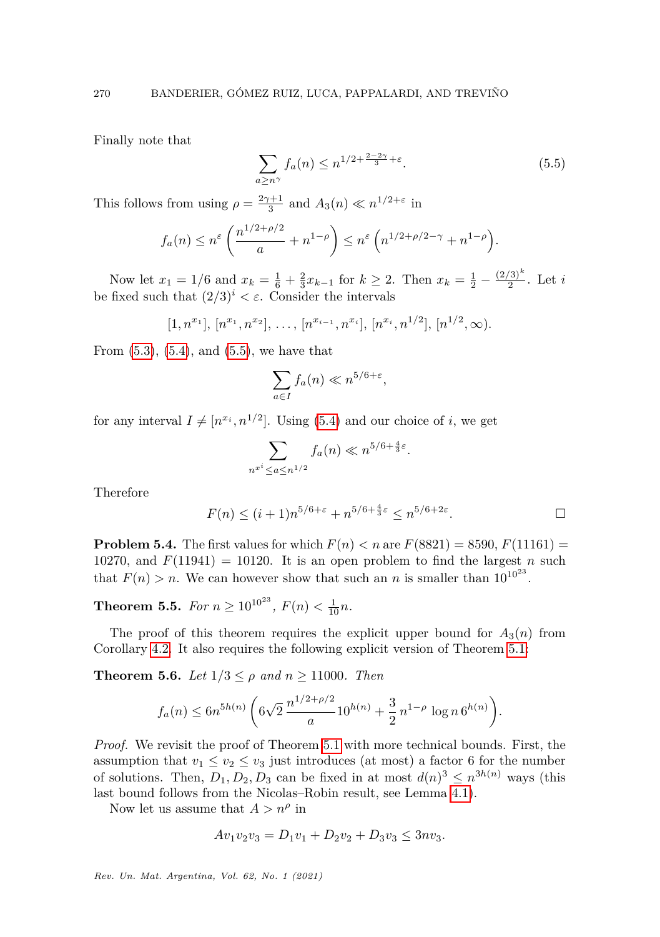Finally note that

<span id="page-13-0"></span>
$$
\sum_{a \ge n^{\gamma}} f_a(n) \le n^{1/2 + \frac{2 - 2\gamma}{3} + \varepsilon}.
$$
\n(5.5)

This follows from using  $\rho = \frac{2\gamma + 1}{3}$  and  $A_3(n) \ll n^{1/2 + \epsilon}$  in

$$
f_a(n) \le n^{\varepsilon} \left( \frac{n^{1/2 + \rho/2}}{a} + n^{1-\rho} \right) \le n^{\varepsilon} \left( n^{1/2 + \rho/2 - \gamma} + n^{1-\rho} \right).
$$

Now let  $x_1 = 1/6$  and  $x_k = \frac{1}{6} + \frac{2}{3}x_{k-1}$  for  $k \ge 2$ . Then  $x_k = \frac{1}{2} - \frac{(2/3)^k}{2}$  $\frac{(3)}{2}$ . Let *i* be fixed such that  $(2/3)^i < \varepsilon$ . Consider the intervals

$$
[1, n^{x_1}], [n^{x_1}, n^{x_2}], \ldots, [n^{x_{i-1}}, n^{x_i}], [n^{x_i}, n^{1/2}], [n^{1/2}, \infty).
$$

From  $(5.3)$ ,  $(5.4)$ , and  $(5.5)$ , we have that

$$
\sum_{a \in I} f_a(n) \ll n^{5/6 + \varepsilon},
$$

for any interval  $I \neq [n^{x_i}, n^{1/2}]$ . Using [\(5.4\)](#page-12-1) and our choice of *i*, we get

$$
\sum_{n^{x^{i}} \leq a \leq n^{1/2}} f_{a}(n) \ll n^{5/6 + \frac{4}{3}\varepsilon}.
$$

Therefore

$$
F(n) \le (i+1)n^{5/6+\varepsilon} + n^{5/6+\frac{4}{3}\varepsilon} \le n^{5/6+2\varepsilon}.
$$

**Problem 5.4.** The first values for which  $F(n) < n$  are  $F(8821) = 8590, F(11161) =$ 10270, and  $F(11941) = 10120$ . It is an open problem to find the largest *n* such that  $F(n) > n$ . We can however show that such an *n* is smaller than  $10^{10^{23}}$ .

<span id="page-13-1"></span>**Theorem 5.5.** *For*  $n \geq 10^{10^{23}}$ ,  $F(n) < \frac{1}{10}n$ .

The proof of this theorem requires the explicit upper bound for  $A_3(n)$  from Corollary [4.2.](#page-10-0) It also requires the following explicit version of Theorem [5.1:](#page-11-2)

**Theorem 5.6.** *Let*  $1/3 \leq \rho$  *and*  $n \geq 11000$ *. Then* 

$$
f_a(n) \le 6n^{5h(n)} \left( 6\sqrt{2} \frac{n^{1/2 + \rho/2}}{a} 10^{h(n)} + \frac{3}{2} n^{1-\rho} \log n 6^{h(n)} \right).
$$

*Proof.* We revisit the proof of Theorem [5.1](#page-11-2) with more technical bounds. First, the assumption that  $v_1 \le v_2 \le v_3$  just introduces (at most) a factor 6 for the number of solutions. Then,  $D_1, D_2, D_3$  can be fixed in at most  $d(n)^3 \leq n^{3h(n)}$  ways (this last bound follows from the Nicolas–Robin result, see Lemma [4.1\)](#page-9-0).

Now let us assume that  $A > n^{\rho}$  in

$$
Av_1v_2v_3 = D_1v_1 + D_2v_2 + D_3v_3 \le 3nv_3.
$$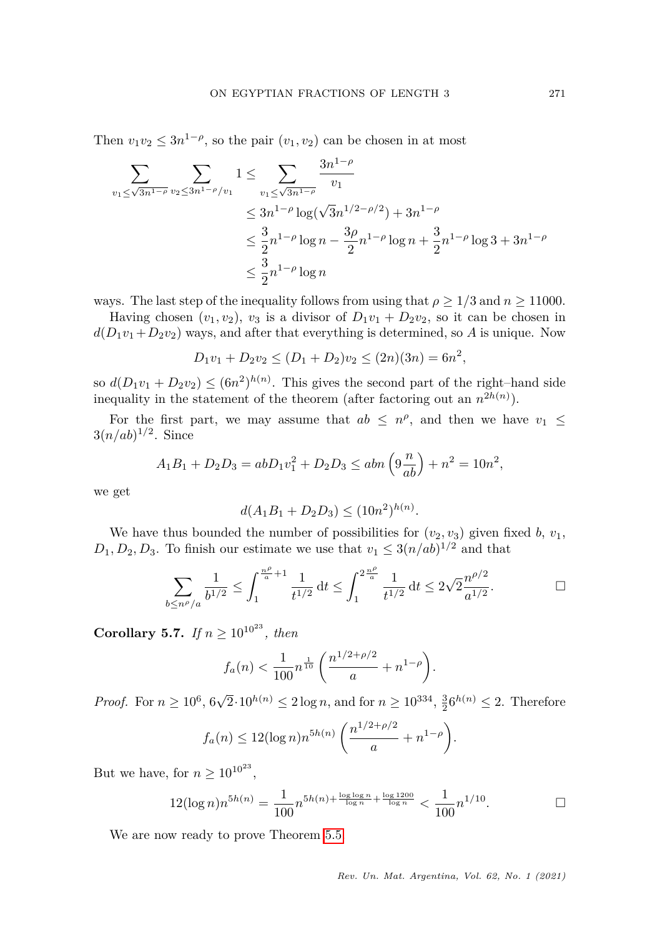Then  $v_1v_2 \leq 3n^{1-\rho}$ , so the pair  $(v_1, v_2)$  can be chosen in at most

$$
\sum_{v_1 \leq \sqrt{3n^{1-\rho}}} \sum_{v_2 \leq 3n^{1-\rho}/v_1} 1 \leq \sum_{v_1 \leq \sqrt{3n^{1-\rho}}} \frac{3n^{1-\rho}}{v_1}
$$
\n
$$
\leq 3n^{1-\rho} \log(\sqrt{3}n^{1/2-\rho/2}) + 3n^{1-\rho}
$$
\n
$$
\leq \frac{3}{2}n^{1-\rho} \log n - \frac{3\rho}{2}n^{1-\rho} \log n + \frac{3}{2}n^{1-\rho} \log 3 + 3n^{1-\rho}
$$
\n
$$
\leq \frac{3}{2}n^{1-\rho} \log n
$$

ways. The last step of the inequality follows from using that  $\rho \geq 1/3$  and  $n \geq 11000$ .

Having chosen  $(v_1, v_2)$ ,  $v_3$  is a divisor of  $D_1v_1 + D_2v_2$ , so it can be chosen in  $d(D_1v_1+D_2v_2)$  ways, and after that everything is determined, so *A* is unique. Now

$$
D_1v_1 + D_2v_2 \le (D_1 + D_2)v_2 \le (2n)(3n) = 6n^2,
$$

so  $d(D_1v_1 + D_2v_2) \leq (6n^2)^{h(n)}$ . This gives the second part of the right–hand side inequality in the statement of the theorem (after factoring out an  $n^{2h(n)}$ ).

For the first part, we may assume that  $ab \leq n^{\rho}$ , and then we have  $v_1 \leq$  $3(n/ab)^{1/2}$ . Since

$$
A_1B_1 + D_2D_3 = abD_1v_1^2 + D_2D_3 \le abn\left(9\frac{n}{ab}\right) + n^2 = 10n^2,
$$

we get

$$
d(A_1B_1 + D_2D_3) \le (10n^2)^{h(n)}.
$$

We have thus bounded the number of possibilities for  $(v_2, v_3)$  given fixed *b*,  $v_1$ ,  $D_1, D_2, D_3$ . To finish our estimate we use that  $v_1 \leq 3(n/ab)^{1/2}$  and that

$$
\sum_{b \le n^{\rho}/a} \frac{1}{b^{1/2}} \le \int_1^{\frac{n^{\rho}}{a}+1} \frac{1}{t^{1/2}} dt \le \int_1^{2\frac{n^{\rho}}{a}} \frac{1}{t^{1/2}} dt \le 2\sqrt{2} \frac{n^{\rho/2}}{a^{1/2}}.
$$

<span id="page-14-0"></span>**Corollary 5.7.** *If*  $n > 10^{10^{23}}$ *, then* 

$$
f_a(n) < \frac{1}{100} n^{\frac{1}{10}} \left( \frac{n^{1/2 + \rho/2}}{a} + n^{1-\rho} \right).
$$

*Proof.* For  $n \ge 10^6$ ,  $6\sqrt{2} \cdot 10^{h(n)} \le 2 \log n$ , and for  $n \ge 10^{334}$ ,  $\frac{3}{2}6^{h(n)} \le 2$ . Therefore

$$
f_a(n) \le 12(\log n)n^{5h(n)}\left(\frac{n^{1/2+\rho/2}}{a} + n^{1-\rho}\right).
$$

But we have, for  $n \geq 10^{10^{23}}$ ,

$$
12(\log n)n^{5h(n)} = \frac{1}{100}n^{5h(n) + \frac{\log \log n}{\log n} + \frac{\log 1200}{\log n}} < \frac{1}{100}n^{1/10}.\n\qquad \Box
$$

We are now ready to prove Theorem [5.5.](#page-13-1)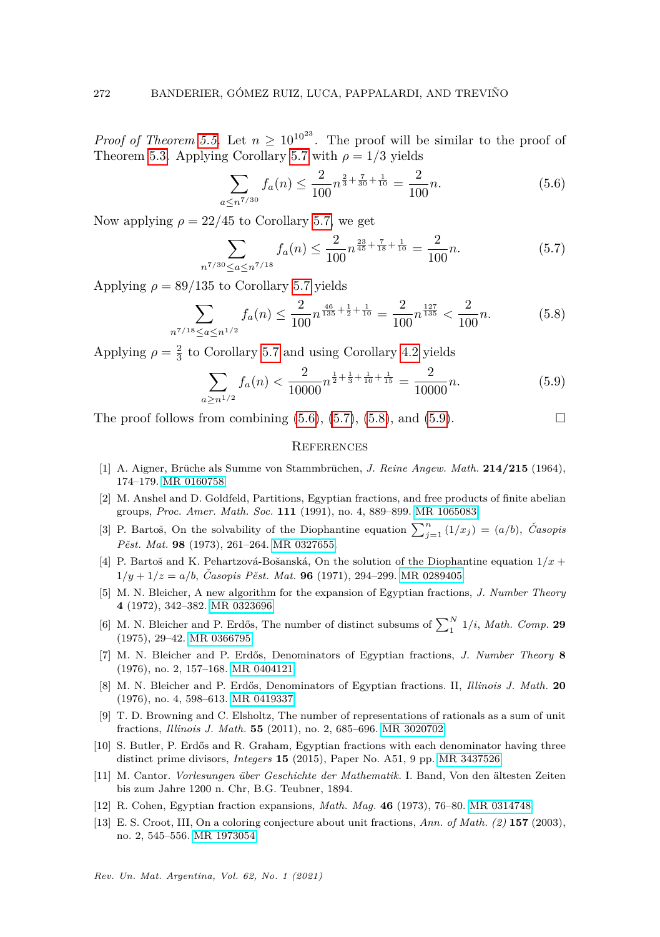*Proof of Theorem [5.5.](#page-13-1)* Let  $n \geq 10^{10^{23}}$ . The proof will be similar to the proof of Theorem [5.3.](#page-12-2) Applying Corollary [5.7](#page-14-0) with  $\rho = 1/3$  yields

<span id="page-15-13"></span>
$$
\sum_{a \le n^{7/30}} f_a(n) \le \frac{2}{100} n^{\frac{2}{3} + \frac{7}{30} + \frac{1}{10}} = \frac{2}{100} n. \tag{5.6}
$$

Now applying  $\rho = 22/45$  to Corollary [5.7,](#page-14-0) we get

<span id="page-15-14"></span>
$$
\sum_{n^{7/30} \le a \le n^{7/18}} f_a(n) \le \frac{2}{100} n^{\frac{23}{45} + \frac{7}{18} + \frac{1}{10}} = \frac{2}{100} n. \tag{5.7}
$$

Applying  $\rho = 89/135$  to Corollary [5.7](#page-14-0) yields

<span id="page-15-15"></span>
$$
\sum_{n^{7/18} \le a \le n^{1/2}} f_a(n) \le \frac{2}{100} n^{\frac{46}{135} + \frac{1}{2} + \frac{1}{10}} = \frac{2}{100} n^{\frac{127}{135}} < \frac{2}{100} n. \tag{5.8}
$$

Applying  $\rho = \frac{2}{3}$  to Corollary [5.7](#page-14-0) and using Corollary [4.2](#page-10-0) yields

<span id="page-15-16"></span>
$$
\sum_{a \ge n^{1/2}} f_a(n) < \frac{2}{10000} n^{\frac{1}{2} + \frac{1}{3} + \frac{1}{10} + \frac{1}{15}} = \frac{2}{10000} n. \tag{5.9}
$$

The proof follows from combining  $(5.6)$ ,  $(5.7)$ ,  $(5.8)$ , and  $(5.9)$ .

#### **REFERENCES**

- <span id="page-15-5"></span>[1] A. Aigner, Brüche als Summe von Stammbrüchen, *J. Reine Angew. Math.* **214/215** (1964), 174–179. [MR 0160758.](https://mathscinet.ams.org/mathscinet-getitem?mr=0160758)
- <span id="page-15-8"></span>[2] M. Anshel and D. Goldfeld, Partitions, Egyptian fractions, and free products of finite abelian groups, *Proc. Amer. Math. Soc.* **111** (1991), no. 4, 889–899. [MR 1065083.](https://mathscinet.ams.org/mathscinet-getitem?mr=1065083)
- <span id="page-15-12"></span>[3] P. Bartoš, On the solvability of the Diophantine equation  $\sum_{j=1}^{n} (1/x_j) = (a/b)$ , *Časopis Pˇest. Mat.* **98** (1973), 261–264. [MR 0327655.](https://mathscinet.ams.org/mathscinet-getitem?mr=0327655)
- <span id="page-15-11"></span>[4] P. Bartoš and K. Pehartzová-Bošanská, On the solution of the Diophantine equation  $1/x +$  $1/y + 1/z = a/b$ , *Casopis Pěst. Mat.* **96** (1971), 294–299. [MR 0289405.](https://mathscinet.ams.org/mathscinet-getitem?mr=0289405)
- <span id="page-15-7"></span>[5] M. N. Bleicher, A new algorithm for the expansion of Egyptian fractions, *J. Number Theory* **4** (1972), 342–382. [MR 0323696.](https://mathscinet.ams.org/mathscinet-getitem?mr=0323696)
- <span id="page-15-4"></span>[6] M. N. Bleicher and P. Erdős, The number of distinct subsums of  $\sum_{1}^{N} 1/i$ , *Math. Comp.* 29 (1975), 29–42. [MR 0366795.](https://mathscinet.ams.org/mathscinet-getitem?mr=0366795)
- <span id="page-15-2"></span>[7] M. N. Bleicher and P. Erd˝os, Denominators of Egyptian fractions, *J. Number Theory* **8** (1976), no. 2, 157–168. [MR 0404121.](https://mathscinet.ams.org/mathscinet-getitem?mr=0404121)
- <span id="page-15-3"></span>[8] M. N. Bleicher and P. Erd˝os, Denominators of Egyptian fractions. II, *Illinois J. Math.* **20** (1976), no. 4, 598–613. [MR 0419337.](https://mathscinet.ams.org/mathscinet-getitem?mr=0419337)
- <span id="page-15-9"></span>[9] T. D. Browning and C. Elsholtz, The number of representations of rationals as a sum of unit fractions, *Illinois J. Math.* **55** (2011), no. 2, 685–696. [MR 3020702.](https://mathscinet.ams.org/mathscinet-getitem?mr=3020702)
- <span id="page-15-1"></span>[10] S. Butler, P. Erdős and R. Graham, Egyptian fractions with each denominator having three distinct prime divisors, *Integers* **15** (2015), Paper No. A51, 9 pp. [MR 3437526.](https://mathscinet.ams.org/mathscinet-getitem?mr=3437526)
- <span id="page-15-0"></span>[11] M. Cantor. *Vorlesungen über Geschichte der Mathematik*. I. Band, Von den ältesten Zeiten bis zum Jahre 1200 n. Chr, B.G. Teubner, 1894.
- <span id="page-15-6"></span>[12] R. Cohen, Egyptian fraction expansions, *Math. Mag.* **46** (1973), 76–80. [MR 0314748.](https://mathscinet.ams.org/mathscinet-getitem?mr=0314748)
- <span id="page-15-10"></span>[13] E. S. Croot, III, On a coloring conjecture about unit fractions, *Ann. of Math. (2)* **157** (2003), no. 2, 545–556. [MR 1973054.](https://mathscinet.ams.org/mathscinet-getitem?mr=1973054)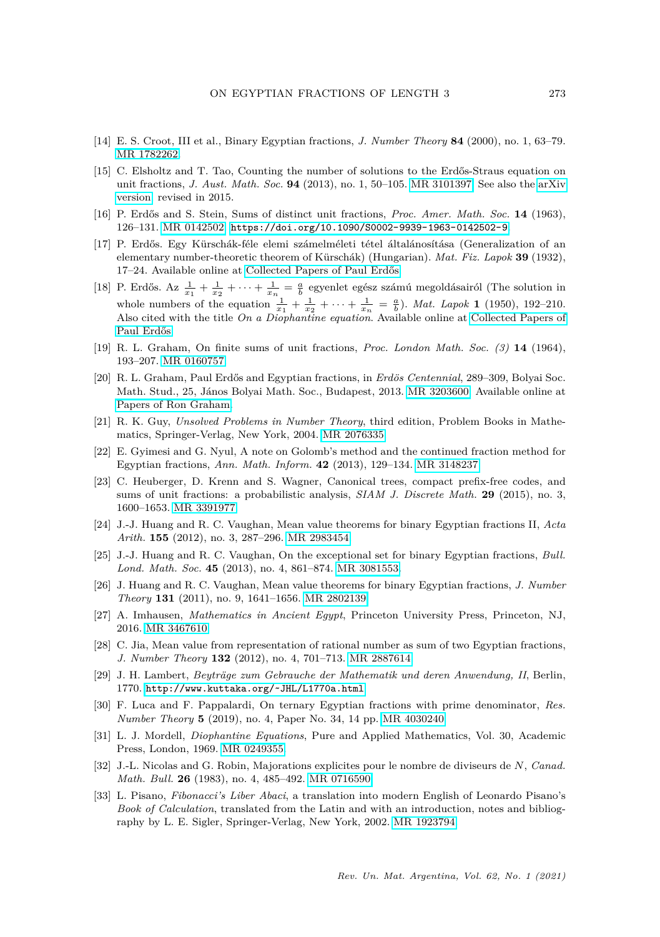- <span id="page-16-16"></span>[14] E. S. Croot, III et al., Binary Egyptian fractions, *J. Number Theory* **84** (2000), no. 1, 63–79. [MR 1782262.](https://mathscinet.ams.org/mathscinet-getitem?mr=1782262)
- <span id="page-16-12"></span>[15] C. Elsholtz and T. Tao, Counting the number of solutions to the Erdős-Straus equation on unit fractions, *J. Aust. Math. Soc.* **94** (2013), no. 1, 50–105. [MR 3101397.](https://mathscinet.ams.org/mathscinet-getitem?mr=3101397) See also the [arXiv](https://arxiv.org/abs/1107.1010) [version,](https://arxiv.org/abs/1107.1010) revised in 2015.
- <span id="page-16-6"></span>[16] P. Erdős and S. Stein, Sums of distinct unit fractions, *Proc. Amer. Math. Soc.* 14 (1963), 126–131. [MR 0142502.](https://mathscinet.ams.org/mathscinet-getitem?mr=0142502) <https://doi.org/10.1090/S0002-9939-1963-0142502-9>.
- <span id="page-16-4"></span>[17] P. Erdős. Egy Kürschák-féle elemi számelméleti tétel általánosítása (Generalization of an elementary number-theoretic theorem of Kürschák) (Hungarian). *Mat. Fiz. Lapok* 39 (1932), 17–24. Available online at Collected Papers of Paul Erdős.
- <span id="page-16-5"></span>[18] P. Erdős. Az  $\frac{1}{x_1} + \frac{1}{x_2} + \cdots + \frac{1}{x_n} = \frac{a}{b}$  egyenlet egész számú megoldásairól (The solution in whole numbers of the equation  $\frac{1}{x_1} + \frac{1}{x_2} + \cdots + \frac{1}{x_n} = \frac{a}{b}$ . *Mat. Lapok* **1** (1950), 192–210. Also cited with the title *On a Diophantine equation*. Available online at [Collected Papers of](https://www.renyi.hu/~p_erdos/1950-02.pdf) Paul Erdős.
- <span id="page-16-10"></span>[19] R. L. Graham, On finite sums of unit fractions, *Proc. London Math. Soc. (3)* **14** (1964), 193–207. [MR 0160757.](https://mathscinet.ams.org/mathscinet-getitem?mr=0160757)
- <span id="page-16-1"></span>[20] R. L. Graham, Paul Erdős and Egyptian fractions, in *Erdös Centennial*, 289–309, Bolyai Soc. Math. Stud., 25, János Bolyai Math. Soc., Budapest, 2013. [MR 3203600.](https://mathscinet.ams.org/mathscinet-getitem?mr=3203600) Available online at [Papers of Ron Graham.](http://www.math.ucsd.edu/~ronspubs/13_03_Egyptian.pdf)
- <span id="page-16-7"></span>[21] R. K. Guy, *Unsolved Problems in Number Theory*, third edition, Problem Books in Mathematics, Springer-Verlag, New York, 2004. [MR 2076335.](https://mathscinet.ams.org/mathscinet-getitem?mr=2076335)
- <span id="page-16-9"></span>[22] E. Gyimesi and G. Nyul, A note on Golomb's method and the continued fraction method for Egyptian fractions, *Ann. Math. Inform.* **42** (2013), 129–134. [MR 3148237.](https://mathscinet.ams.org/mathscinet-getitem?mr=3148237)
- <span id="page-16-8"></span>[23] C. Heuberger, D. Krenn and S. Wagner, Canonical trees, compact prefix-free codes, and sums of unit fractions: a probabilistic analysis, *SIAM J. Discrete Math.* **29** (2015), no. 3, 1600–1653. [MR 3391977.](https://mathscinet.ams.org/mathscinet-getitem?mr=3391977)
- <span id="page-16-14"></span>[24] J.-J. Huang and R. C. Vaughan, Mean value theorems for binary Egyptian fractions II, *Acta Arith.* **155** (2012), no. 3, 287–296. [MR 2983454.](https://mathscinet.ams.org/mathscinet-getitem?mr=2983454)
- <span id="page-16-15"></span>[25] J.-J. Huang and R. C. Vaughan, On the exceptional set for binary Egyptian fractions, *Bull. Lond. Math. Soc.* **45** (2013), no. 4, 861–874. [MR 3081553.](https://mathscinet.ams.org/mathscinet-getitem?mr=3081553)
- <span id="page-16-13"></span>[26] J. Huang and R. C. Vaughan, Mean value theorems for binary Egyptian fractions, *J. Number Theory* **131** (2011), no. 9, 1641–1656. [MR 2802139.](https://mathscinet.ams.org/mathscinet-getitem?mr=2802139)
- <span id="page-16-0"></span>[27] A. Imhausen, *Mathematics in Ancient Egypt*, Princeton University Press, Princeton, NJ, 2016. [MR 3467610.](https://mathscinet.ams.org/mathscinet-getitem?mr=3467610)
- <span id="page-16-11"></span>[28] C. Jia, Mean value from representation of rational number as sum of two Egyptian fractions, *J. Number Theory* **132** (2012), no. 4, 701–713. [MR 2887614.](https://mathscinet.ams.org/mathscinet-getitem?mr=2887614)
- <span id="page-16-3"></span>[29] J. H. Lambert, *Beyträge zum Gebrauche der Mathematik und deren Anwendung, II*, Berlin, 1770. [http://www.kuttaka.org/˜JHL/L1770a.html](http://www.kuttaka.org/~JHL/L1770a.html)
- <span id="page-16-17"></span>[30] F. Luca and F. Pappalardi, On ternary Egyptian fractions with prime denominator, *Res. Number Theory* **5** (2019), no. 4, Paper No. 34, 14 pp. [MR 4030240.](https://mathscinet.ams.org/mathscinet-getitem?mr=4030240)
- <span id="page-16-18"></span>[31] L. J. Mordell, *Diophantine Equations*, Pure and Applied Mathematics, Vol. 30, Academic Press, London, 1969. [MR 0249355.](https://mathscinet.ams.org/mathscinet-getitem?mr=0249355)
- <span id="page-16-19"></span>[32] J.-L. Nicolas and G. Robin, Majorations explicites pour le nombre de diviseurs de *N*, *Canad. Math. Bull.* **26** (1983), no. 4, 485–492. [MR 0716590.](https://mathscinet.ams.org/mathscinet-getitem?mr=0716590)
- <span id="page-16-2"></span>[33] L. Pisano, *Fibonacci's Liber Abaci*, a translation into modern English of Leonardo Pisano's *Book of Calculation*, translated from the Latin and with an introduction, notes and bibliography by L. E. Sigler, Springer-Verlag, New York, 2002. [MR 1923794.](https://mathscinet.ams.org/mathscinet-getitem?mr=1923794)